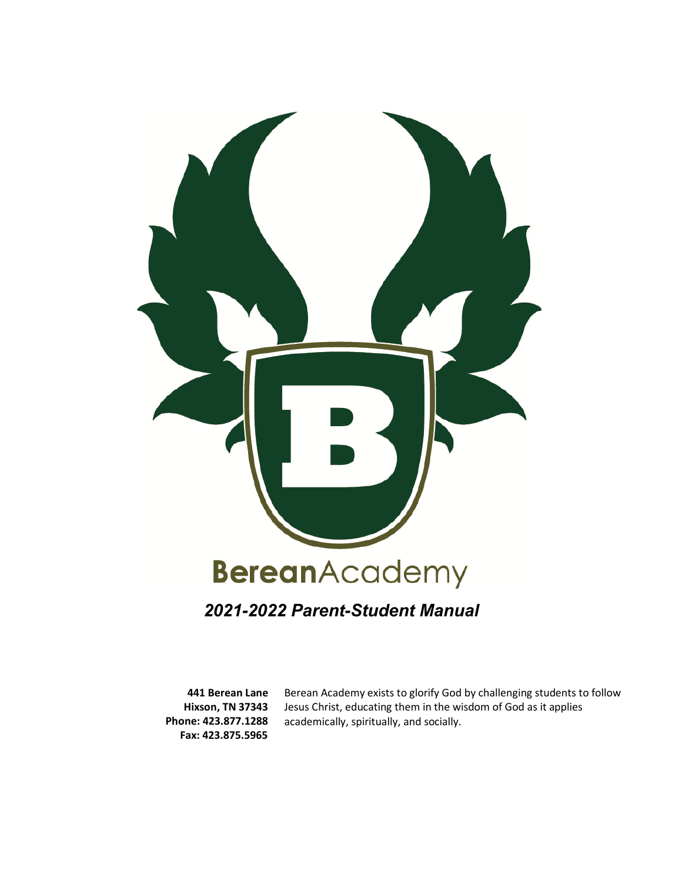

# *2021-2022 Parent-Student Manual*

**441 Berean Lane Hixson, TN 37343 Phone: 423.877.1288 Fax: 423.875.5965**

Berean Academy exists to glorify God by challenging students to follow Jesus Christ, educating them in the wisdom of God as it applies academically, spiritually, and socially.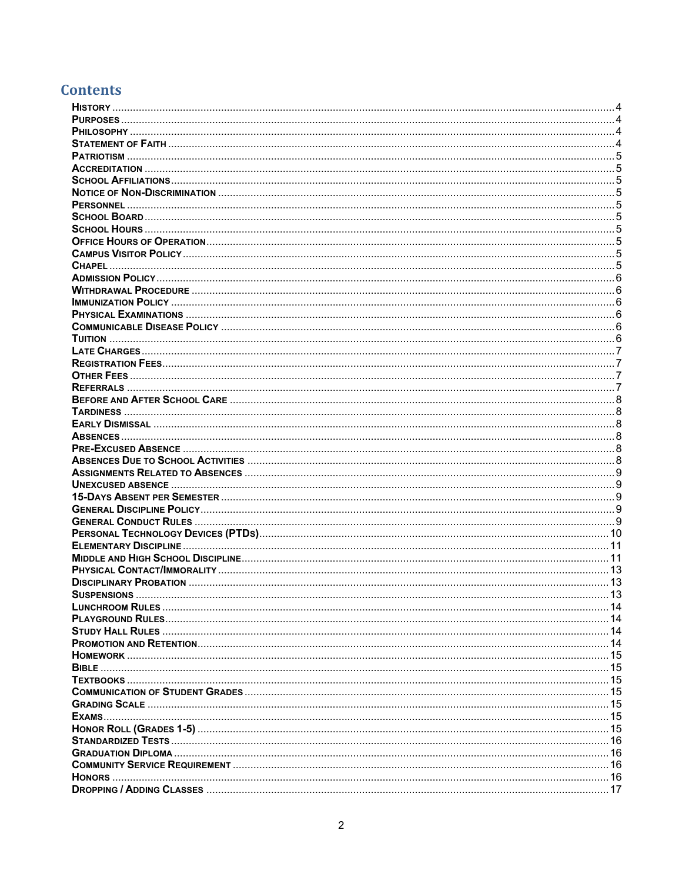# **Contents**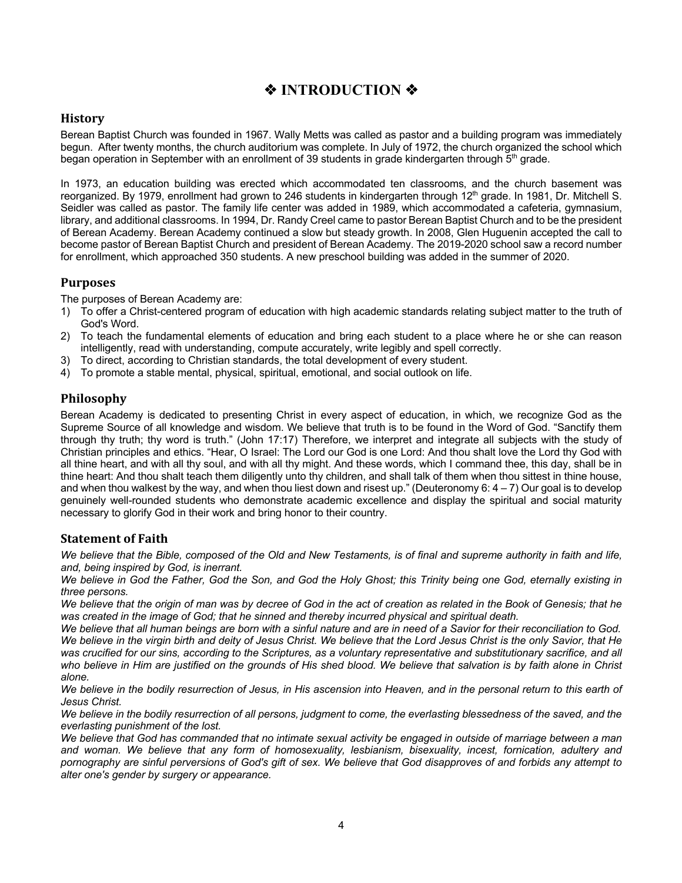# *◆* **<b>INTRODUCTION** ◆

## **History**

Berean Baptist Church was founded in 1967. Wally Metts was called as pastor and a building program was immediately begun. After twenty months, the church auditorium was complete. In July of 1972, the church organized the school which began operation in September with an enrollment of 39 students in grade kindergarten through 5<sup>th</sup> grade.

In 1973, an education building was erected which accommodated ten classrooms, and the church basement was reorganized. By 1979, enrollment had grown to 246 students in kindergarten through 12<sup>th</sup> grade. In 1981, Dr. Mitchell S. Seidler was called as pastor. The family life center was added in 1989, which accommodated a cafeteria, gymnasium, library, and additional classrooms. In 1994, Dr. Randy Creel came to pastor Berean Baptist Church and to be the president of Berean Academy. Berean Academy continued a slow but steady growth. In 2008, Glen Huguenin accepted the call to become pastor of Berean Baptist Church and president of Berean Academy. The 2019-2020 school saw a record number for enrollment, which approached 350 students. A new preschool building was added in the summer of 2020.

# **Purposes**

The purposes of Berean Academy are:

- 1) To offer a Christ-centered program of education with high academic standards relating subject matter to the truth of God's Word.
- 2) To teach the fundamental elements of education and bring each student to a place where he or she can reason intelligently, read with understanding, compute accurately, write legibly and spell correctly.
- 3) To direct, according to Christian standards, the total development of every student.
- 4) To promote a stable mental, physical, spiritual, emotional, and social outlook on life.

# **Philosophy**

Berean Academy is dedicated to presenting Christ in every aspect of education, in which, we recognize God as the Supreme Source of all knowledge and wisdom. We believe that truth is to be found in the Word of God. "Sanctify them through thy truth; thy word is truth." (John 17:17) Therefore, we interpret and integrate all subjects with the study of Christian principles and ethics. "Hear, O Israel: The Lord our God is one Lord: And thou shalt love the Lord thy God with all thine heart, and with all thy soul, and with all thy might. And these words, which I command thee, this day, shall be in thine heart: And thou shalt teach them diligently unto thy children, and shall talk of them when thou sittest in thine house, and when thou walkest by the way, and when thou liest down and risest up." (Deuteronomy 6:  $4 - 7$ ) Our goal is to develop genuinely well-rounded students who demonstrate academic excellence and display the spiritual and social maturity necessary to glorify God in their work and bring honor to their country.

# **Statement of Faith**

*We believe that the Bible, composed of the Old and New Testaments, is of final and supreme authority in faith and life, and, being inspired by God, is inerrant.*

*We believe in God the Father, God the Son, and God the Holy Ghost; this Trinity being one God, eternally existing in three persons.*

*We believe that the origin of man was by decree of God in the act of creation as related in the Book of Genesis; that he was created in the image of God; that he sinned and thereby incurred physical and spiritual death.*

*We believe that all human beings are born with a sinful nature and are in need of a Savior for their reconciliation to God. We believe in the virgin birth and deity of Jesus Christ. We believe that the Lord Jesus Christ is the only Savior, that He was crucified for our sins, according to the Scriptures, as a voluntary representative and substitutionary sacrifice, and all who believe in Him are justified on the grounds of His shed blood. We believe that salvation is by faith alone in Christ alone.*

We believe in the bodily resurrection of Jesus, in His ascension into Heaven, and in the personal return to this earth of *Jesus Christ.*

*We believe in the bodily resurrection of all persons, judgment to come, the everlasting blessedness of the saved, and the everlasting punishment of the lost.*

We believe that God has commanded that no intimate sexual activity be engaged in outside of marriage between a man *and woman. We believe that any form of homosexuality, lesbianism, bisexuality, incest, fornication, adultery and pornography are sinful perversions of God's gift of sex. We believe that God disapproves of and forbids any attempt to alter one's gender by surgery or appearance.*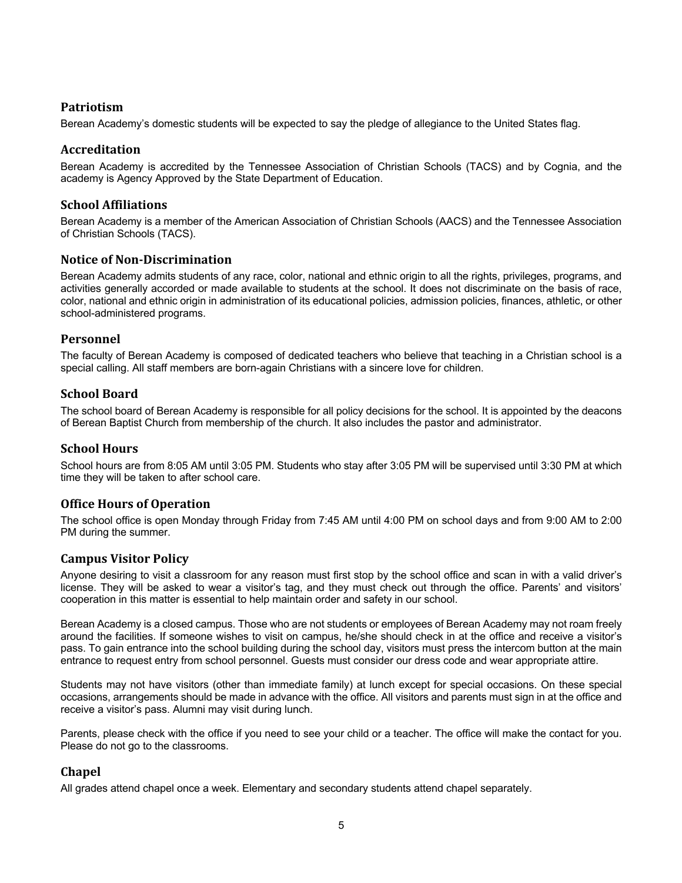# **Patriotism**

Berean Academy's domestic students will be expected to say the pledge of allegiance to the United States flag.

## **Accreditation**

Berean Academy is accredited by the Tennessee Association of Christian Schools (TACS) and by Cognia, and the academy is Agency Approved by the State Department of Education.

## **School Affiliations**

Berean Academy is a member of the American Association of Christian Schools (AACS) and the Tennessee Association of Christian Schools (TACS).

## **Notice of Non-Discrimination**

Berean Academy admits students of any race, color, national and ethnic origin to all the rights, privileges, programs, and activities generally accorded or made available to students at the school. It does not discriminate on the basis of race, color, national and ethnic origin in administration of its educational policies, admission policies, finances, athletic, or other school-administered programs.

## **Personnel**

The faculty of Berean Academy is composed of dedicated teachers who believe that teaching in a Christian school is a special calling. All staff members are born-again Christians with a sincere love for children.

## **School Board**

The school board of Berean Academy is responsible for all policy decisions for the school. It is appointed by the deacons of Berean Baptist Church from membership of the church. It also includes the pastor and administrator.

## **School Hours**

School hours are from 8:05 AM until 3:05 PM. Students who stay after 3:05 PM will be supervised until 3:30 PM at which time they will be taken to after school care.

## **Office Hours of Operation**

The school office is open Monday through Friday from 7:45 AM until 4:00 PM on school days and from 9:00 AM to 2:00 PM during the summer.

## **Campus Visitor Policy**

Anyone desiring to visit a classroom for any reason must first stop by the school office and scan in with a valid driver's license. They will be asked to wear a visitor's tag, and they must check out through the office. Parents' and visitors' cooperation in this matter is essential to help maintain order and safety in our school.

Berean Academy is a closed campus. Those who are not students or employees of Berean Academy may not roam freely around the facilities. If someone wishes to visit on campus, he/she should check in at the office and receive a visitor's pass. To gain entrance into the school building during the school day, visitors must press the intercom button at the main entrance to request entry from school personnel. Guests must consider our dress code and wear appropriate attire.

Students may not have visitors (other than immediate family) at lunch except for special occasions. On these special occasions, arrangements should be made in advance with the office. All visitors and parents must sign in at the office and receive a visitor's pass. Alumni may visit during lunch.

Parents, please check with the office if you need to see your child or a teacher. The office will make the contact for you. Please do not go to the classrooms.

# **Chapel**

All grades attend chapel once a week. Elementary and secondary students attend chapel separately.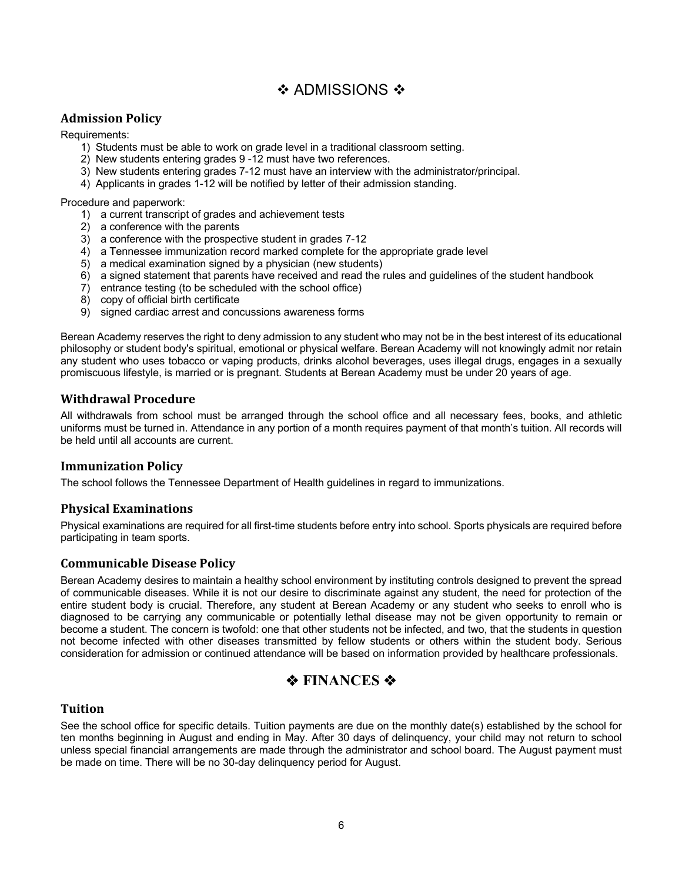# $\div$  ADMISSIONS  $\div$

# **Admission Policy**

Requirements:

- 1) Students must be able to work on grade level in a traditional classroom setting.
- 2) New students entering grades 9 -12 must have two references.
- 3) New students entering grades 7-12 must have an interview with the administrator/principal.
- 4) Applicants in grades 1-12 will be notified by letter of their admission standing.

Procedure and paperwork:

- 1) a current transcript of grades and achievement tests
- 2) a conference with the parents
- 3) a conference with the prospective student in grades 7-12
- 4) a Tennessee immunization record marked complete for the appropriate grade level
- 5) a medical examination signed by a physician (new students)
- 6) a signed statement that parents have received and read the rules and guidelines of the student handbook
- 7) entrance testing (to be scheduled with the school office)
- 8) copy of official birth certificate
- 9) signed cardiac arrest and concussions awareness forms

Berean Academy reserves the right to deny admission to any student who may not be in the best interest of its educational philosophy or student body's spiritual, emotional or physical welfare. Berean Academy will not knowingly admit nor retain any student who uses tobacco or vaping products, drinks alcohol beverages, uses illegal drugs, engages in a sexually promiscuous lifestyle, is married or is pregnant. Students at Berean Academy must be under 20 years of age.

## **Withdrawal Procedure**

All withdrawals from school must be arranged through the school office and all necessary fees, books, and athletic uniforms must be turned in. Attendance in any portion of a month requires payment of that month's tuition. All records will be held until all accounts are current.

## **Immunization Policy**

The school follows the Tennessee Department of Health guidelines in regard to immunizations.

## **Physical Examinations**

Physical examinations are required for all first-time students before entry into school. Sports physicals are required before participating in team sports.

## **Communicable Disease Policy**

Berean Academy desires to maintain a healthy school environment by instituting controls designed to prevent the spread of communicable diseases. While it is not our desire to discriminate against any student, the need for protection of the entire student body is crucial. Therefore, any student at Berean Academy or any student who seeks to enroll who is diagnosed to be carrying any communicable or potentially lethal disease may not be given opportunity to remain or become a student. The concern is twofold: one that other students not be infected, and two, that the students in question not become infected with other diseases transmitted by fellow students or others within the student body. Serious consideration for admission or continued attendance will be based on information provided by healthcare professionals.

# $\diamond$  **FINANCES**  $\diamond$

## **Tuition**

See the school office for specific details. Tuition payments are due on the monthly date(s) established by the school for ten months beginning in August and ending in May. After 30 days of delinquency, your child may not return to school unless special financial arrangements are made through the administrator and school board. The August payment must be made on time. There will be no 30-day delinquency period for August.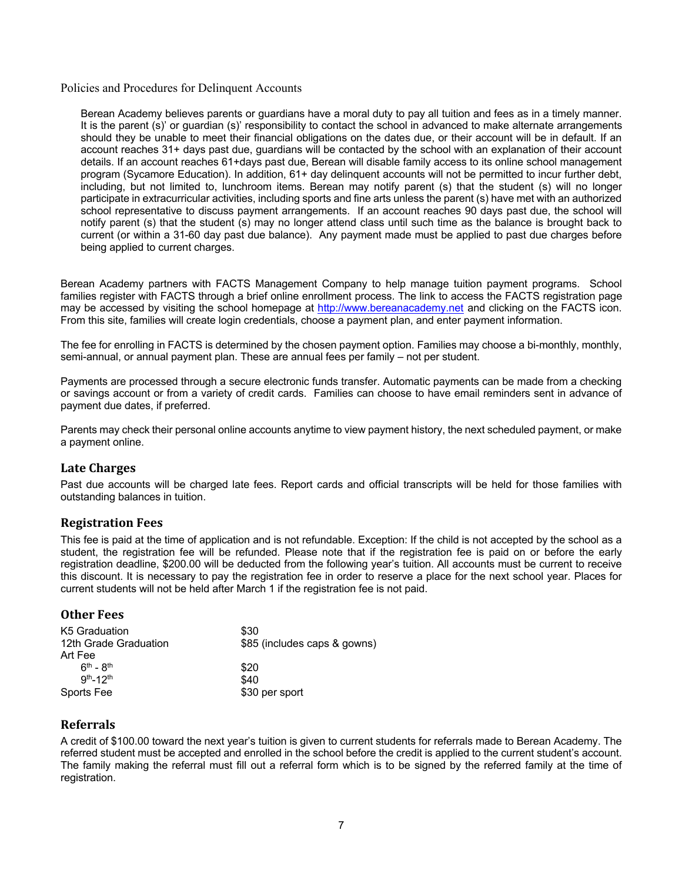Policies and Procedures for Delinquent Accounts

Berean Academy believes parents or guardians have a moral duty to pay all tuition and fees as in a timely manner. It is the parent (s)' or guardian (s)' responsibility to contact the school in advanced to make alternate arrangements should they be unable to meet their financial obligations on the dates due, or their account will be in default. If an account reaches 31+ days past due, guardians will be contacted by the school with an explanation of their account details. If an account reaches 61+days past due, Berean will disable family access to its online school management program (Sycamore Education). In addition, 61+ day delinquent accounts will not be permitted to incur further debt, including, but not limited to, lunchroom items. Berean may notify parent (s) that the student (s) will no longer participate in extracurricular activities, including sports and fine arts unless the parent (s) have met with an authorized school representative to discuss payment arrangements. If an account reaches 90 days past due, the school will notify parent (s) that the student (s) may no longer attend class until such time as the balance is brought back to current (or within a 31-60 day past due balance). Any payment made must be applied to past due charges before being applied to current charges.

Berean Academy partners with FACTS Management Company to help manage tuition payment programs. School families register with FACTS through a brief online enrollment process. The link to access the FACTS registration page may be accessed by visiting the school homepage at http://www.bereanacademy.net and clicking on the FACTS icon. From this site, families will create login credentials, choose a payment plan, and enter payment information.

The fee for enrolling in FACTS is determined by the chosen payment option. Families may choose a bi-monthly, monthly, semi-annual, or annual payment plan. These are annual fees per family – not per student.

Payments are processed through a secure electronic funds transfer. Automatic payments can be made from a checking or savings account or from a variety of credit cards. Families can choose to have email reminders sent in advance of payment due dates, if preferred.

Parents may check their personal online accounts anytime to view payment history, the next scheduled payment, or make a payment online.

## **Late Charges**

Past due accounts will be charged late fees. Report cards and official transcripts will be held for those families with outstanding balances in tuition.

## **Registration Fees**

This fee is paid at the time of application and is not refundable. Exception: If the child is not accepted by the school as a student, the registration fee will be refunded. Please note that if the registration fee is paid on or before the early registration deadline, \$200.00 will be deducted from the following year's tuition. All accounts must be current to receive this discount. It is necessary to pay the registration fee in order to reserve a place for the next school year. Places for current students will not be held after March 1 if the registration fee is not paid.

## **Other Fees**

| K5 Graduation         | \$30                         |
|-----------------------|------------------------------|
| 12th Grade Graduation | \$85 (includes caps & gowns) |
| Art Fee               |                              |
| $6th - 8th$           | \$20                         |
| $Qth - 12th$          | \$40                         |
| Sports Fee            | \$30 per sport               |

## **Referrals**

A credit of \$100.00 toward the next year's tuition is given to current students for referrals made to Berean Academy. The referred student must be accepted and enrolled in the school before the credit is applied to the current student's account. The family making the referral must fill out a referral form which is to be signed by the referred family at the time of registration.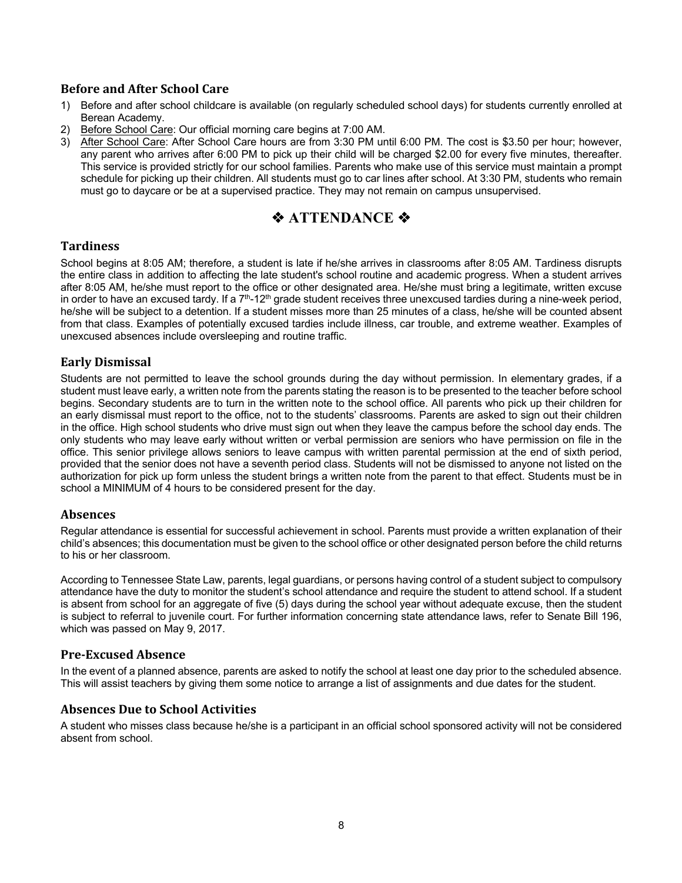# **Before and After School Care**

- 1) Before and after school childcare is available (on regularly scheduled school days) for students currently enrolled at Berean Academy.
- 2) Before School Care: Our official morning care begins at 7:00 AM.
- 3) After School Care: After School Care hours are from 3:30 PM until 6:00 PM. The cost is \$3.50 per hour; however, any parent who arrives after 6:00 PM to pick up their child will be charged \$2.00 for every five minutes, thereafter. This service is provided strictly for our school families. Parents who make use of this service must maintain a prompt schedule for picking up their children. All students must go to car lines after school. At 3:30 PM, students who remain must go to daycare or be at a supervised practice. They may not remain on campus unsupervised.

# *<b>* ATTENDANCE ❖

# **Tardiness**

School begins at 8:05 AM; therefore, a student is late if he/she arrives in classrooms after 8:05 AM. Tardiness disrupts the entire class in addition to affecting the late student's school routine and academic progress. When a student arrives after 8:05 AM, he/she must report to the office or other designated area. He/she must bring a legitimate, written excuse in order to have an excused tardy. If a 7<sup>th</sup>-12<sup>th</sup> grade student receives three unexcused tardies during a nine-week period, he/she will be subject to a detention. If a student misses more than 25 minutes of a class, he/she will be counted absent from that class. Examples of potentially excused tardies include illness, car trouble, and extreme weather. Examples of unexcused absences include oversleeping and routine traffic.

## **Early Dismissal**

Students are not permitted to leave the school grounds during the day without permission. In elementary grades, if a student must leave early, a written note from the parents stating the reason is to be presented to the teacher before school begins. Secondary students are to turn in the written note to the school office. All parents who pick up their children for an early dismissal must report to the office, not to the students' classrooms. Parents are asked to sign out their children in the office. High school students who drive must sign out when they leave the campus before the school day ends. The only students who may leave early without written or verbal permission are seniors who have permission on file in the office. This senior privilege allows seniors to leave campus with written parental permission at the end of sixth period, provided that the senior does not have a seventh period class. Students will not be dismissed to anyone not listed on the authorization for pick up form unless the student brings a written note from the parent to that effect. Students must be in school a MINIMUM of 4 hours to be considered present for the day.

## **Absences**

Regular attendance is essential for successful achievement in school. Parents must provide a written explanation of their child's absences; this documentation must be given to the school office or other designated person before the child returns to his or her classroom.

According to Tennessee State Law, parents, legal guardians, or persons having control of a student subject to compulsory attendance have the duty to monitor the student's school attendance and require the student to attend school. If a student is absent from school for an aggregate of five (5) days during the school year without adequate excuse, then the student is subject to referral to juvenile court. For further information concerning state attendance laws, refer to Senate Bill 196, which was passed on May 9, 2017.

## **Pre-Excused Absence**

In the event of a planned absence, parents are asked to notify the school at least one day prior to the scheduled absence. This will assist teachers by giving them some notice to arrange a list of assignments and due dates for the student.

## **Absences Due to School Activities**

A student who misses class because he/she is a participant in an official school sponsored activity will not be considered absent from school.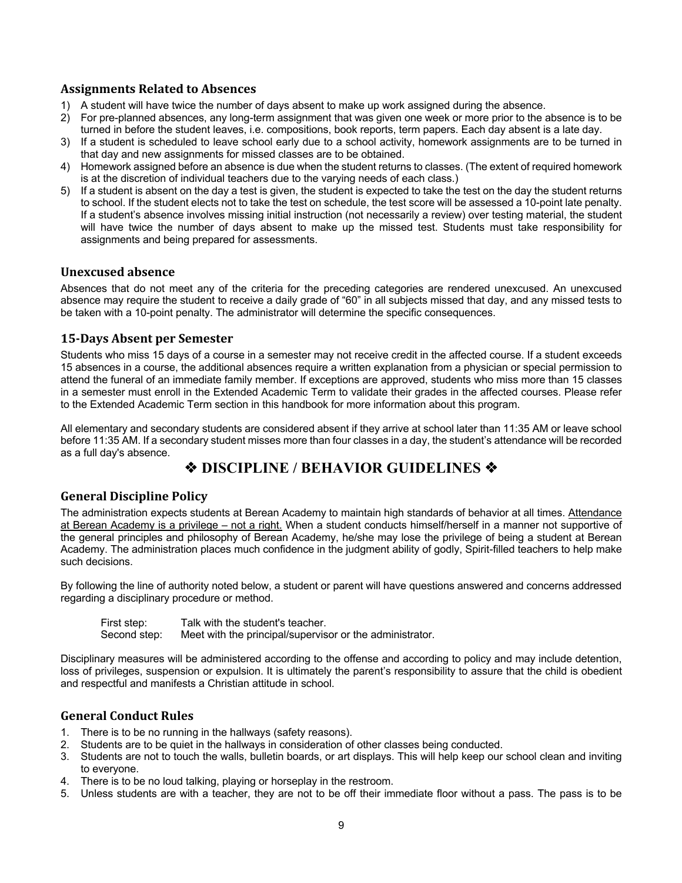# **Assignments Related to Absences**

- 1) A student will have twice the number of days absent to make up work assigned during the absence.
- 2) For pre-planned absences, any long-term assignment that was given one week or more prior to the absence is to be turned in before the student leaves, i.e. compositions, book reports, term papers. Each day absent is a late day.
- 3) If a student is scheduled to leave school early due to a school activity, homework assignments are to be turned in that day and new assignments for missed classes are to be obtained.
- 4) Homework assigned before an absence is due when the student returns to classes. (The extent of required homework is at the discretion of individual teachers due to the varying needs of each class.)
- 5) If a student is absent on the day a test is given, the student is expected to take the test on the day the student returns to school. If the student elects not to take the test on schedule, the test score will be assessed a 10-point late penalty. If a student's absence involves missing initial instruction (not necessarily a review) over testing material, the student will have twice the number of days absent to make up the missed test. Students must take responsibility for assignments and being prepared for assessments.

## **Unexcused absence**

Absences that do not meet any of the criteria for the preceding categories are rendered unexcused. An unexcused absence may require the student to receive a daily grade of "60" in all subjects missed that day, and any missed tests to be taken with a 10-point penalty. The administrator will determine the specific consequences.

# **15-Days Absent per Semester**

Students who miss 15 days of a course in a semester may not receive credit in the affected course. If a student exceeds 15 absences in a course, the additional absences require a written explanation from a physician or special permission to attend the funeral of an immediate family member. If exceptions are approved, students who miss more than 15 classes in a semester must enroll in the Extended Academic Term to validate their grades in the affected courses. Please refer to the Extended Academic Term section in this handbook for more information about this program.

All elementary and secondary students are considered absent if they arrive at school later than 11:35 AM or leave school before 11:35 AM. If a secondary student misses more than four classes in a day, the student's attendance will be recorded as a full day's absence.

# **◆ DISCIPLINE / BEHAVIOR GUIDELINES ◆**

# **General Discipline Policy**

The administration expects students at Berean Academy to maintain high standards of behavior at all times. Attendance at Berean Academy is a privilege – not a right. When a student conducts himself/herself in a manner not supportive of the general principles and philosophy of Berean Academy, he/she may lose the privilege of being a student at Berean Academy. The administration places much confidence in the judgment ability of godly, Spirit-filled teachers to help make such decisions.

By following the line of authority noted below, a student or parent will have questions answered and concerns addressed regarding a disciplinary procedure or method.

First step: Talk with the student's teacher. Second step: Meet with the principal/supervisor or the administrator.

Disciplinary measures will be administered according to the offense and according to policy and may include detention, loss of privileges, suspension or expulsion. It is ultimately the parent's responsibility to assure that the child is obedient and respectful and manifests a Christian attitude in school.

# **General Conduct Rules**

- 1. There is to be no running in the hallways (safety reasons).
- 2. Students are to be quiet in the hallways in consideration of other classes being conducted.
- 3. Students are not to touch the walls, bulletin boards, or art displays. This will help keep our school clean and inviting to everyone.
- 4. There is to be no loud talking, playing or horseplay in the restroom.
- 5. Unless students are with a teacher, they are not to be off their immediate floor without a pass. The pass is to be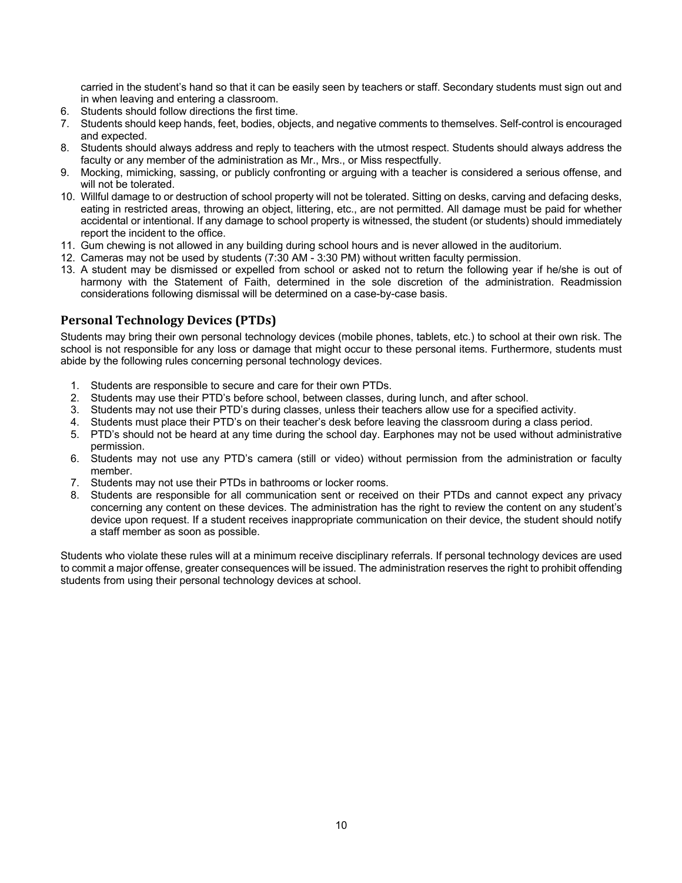carried in the student's hand so that it can be easily seen by teachers or staff. Secondary students must sign out and in when leaving and entering a classroom.

- 6. Students should follow directions the first time.
- 7. Students should keep hands, feet, bodies, objects, and negative comments to themselves. Self-control is encouraged and expected.
- 8. Students should always address and reply to teachers with the utmost respect. Students should always address the faculty or any member of the administration as Mr., Mrs., or Miss respectfully.
- 9. Mocking, mimicking, sassing, or publicly confronting or arguing with a teacher is considered a serious offense, and will not be tolerated.
- 10. Willful damage to or destruction of school property will not be tolerated. Sitting on desks, carving and defacing desks, eating in restricted areas, throwing an object, littering, etc., are not permitted. All damage must be paid for whether accidental or intentional. If any damage to school property is witnessed, the student (or students) should immediately report the incident to the office.
- 11. Gum chewing is not allowed in any building during school hours and is never allowed in the auditorium.
- 12. Cameras may not be used by students (7:30 AM 3:30 PM) without written faculty permission.
- 13. A student may be dismissed or expelled from school or asked not to return the following year if he/she is out of harmony with the Statement of Faith, determined in the sole discretion of the administration. Readmission considerations following dismissal will be determined on a case-by-case basis.

# **Personal Technology Devices (PTDs)**

Students may bring their own personal technology devices (mobile phones, tablets, etc.) to school at their own risk. The school is not responsible for any loss or damage that might occur to these personal items. Furthermore, students must abide by the following rules concerning personal technology devices.

- 1. Students are responsible to secure and care for their own PTDs.
- 2. Students may use their PTD's before school, between classes, during lunch, and after school.
- 3. Students may not use their PTD's during classes, unless their teachers allow use for a specified activity.
- 4. Students must place their PTD's on their teacher's desk before leaving the classroom during a class period.
- 5. PTD's should not be heard at any time during the school day. Earphones may not be used without administrative permission.
- 6. Students may not use any PTD's camera (still or video) without permission from the administration or faculty member.
- 7. Students may not use their PTDs in bathrooms or locker rooms.
- 8. Students are responsible for all communication sent or received on their PTDs and cannot expect any privacy concerning any content on these devices. The administration has the right to review the content on any student's device upon request. If a student receives inappropriate communication on their device, the student should notify a staff member as soon as possible.

Students who violate these rules will at a minimum receive disciplinary referrals. If personal technology devices are used to commit a major offense, greater consequences will be issued. The administration reserves the right to prohibit offending students from using their personal technology devices at school.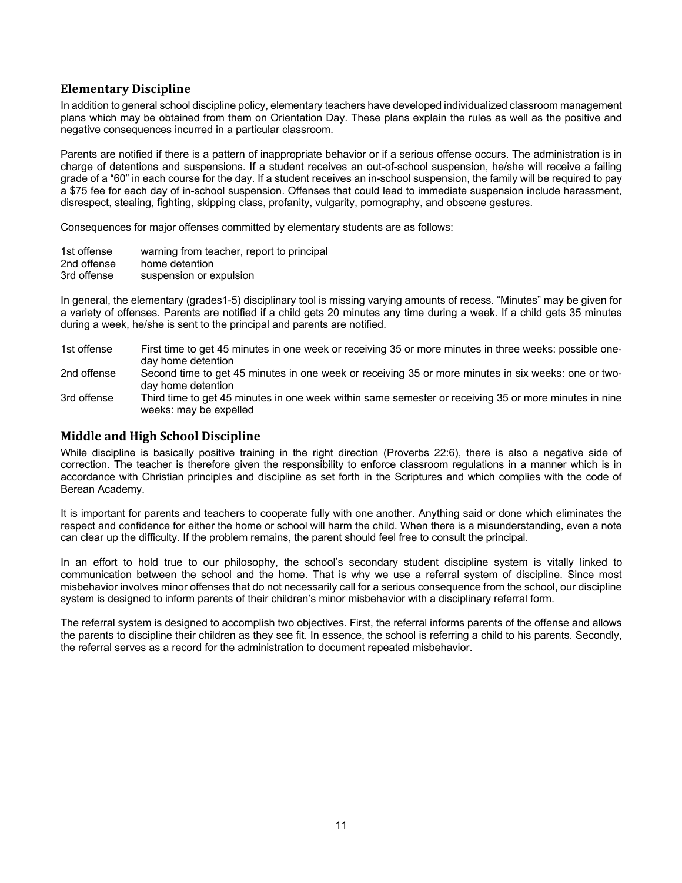# **Elementary Discipline**

In addition to general school discipline policy, elementary teachers have developed individualized classroom management plans which may be obtained from them on Orientation Day. These plans explain the rules as well as the positive and negative consequences incurred in a particular classroom.

Parents are notified if there is a pattern of inappropriate behavior or if a serious offense occurs. The administration is in charge of detentions and suspensions. If a student receives an out-of-school suspension, he/she will receive a failing grade of a "60" in each course for the day. If a student receives an in-school suspension, the family will be required to pay a \$75 fee for each day of in-school suspension. Offenses that could lead to immediate suspension include harassment, disrespect, stealing, fighting, skipping class, profanity, vulgarity, pornography, and obscene gestures.

Consequences for major offenses committed by elementary students are as follows:

| 1st offense | warning from teacher, report to principal |
|-------------|-------------------------------------------|
| 2nd offense | home detention                            |
| 3rd offense | suspension or expulsion                   |

In general, the elementary (grades1-5) disciplinary tool is missing varying amounts of recess. "Minutes" may be given for a variety of offenses. Parents are notified if a child gets 20 minutes any time during a week. If a child gets 35 minutes during a week, he/she is sent to the principal and parents are notified.

- 1st offense First time to get 45 minutes in one week or receiving 35 or more minutes in three weeks: possible oneday home detention
- 2nd offense Second time to get 45 minutes in one week or receiving 35 or more minutes in six weeks: one or twoday home detention
- 3rd offense Third time to get 45 minutes in one week within same semester or receiving 35 or more minutes in nine weeks: may be expelled

## **Middle and High School Discipline**

While discipline is basically positive training in the right direction (Proverbs 22:6), there is also a negative side of correction. The teacher is therefore given the responsibility to enforce classroom regulations in a manner which is in accordance with Christian principles and discipline as set forth in the Scriptures and which complies with the code of Berean Academy.

It is important for parents and teachers to cooperate fully with one another. Anything said or done which eliminates the respect and confidence for either the home or school will harm the child. When there is a misunderstanding, even a note can clear up the difficulty. If the problem remains, the parent should feel free to consult the principal.

In an effort to hold true to our philosophy, the school's secondary student discipline system is vitally linked to communication between the school and the home. That is why we use a referral system of discipline. Since most misbehavior involves minor offenses that do not necessarily call for a serious consequence from the school, our discipline system is designed to inform parents of their children's minor misbehavior with a disciplinary referral form.

The referral system is designed to accomplish two objectives. First, the referral informs parents of the offense and allows the parents to discipline their children as they see fit. In essence, the school is referring a child to his parents. Secondly, the referral serves as a record for the administration to document repeated misbehavior.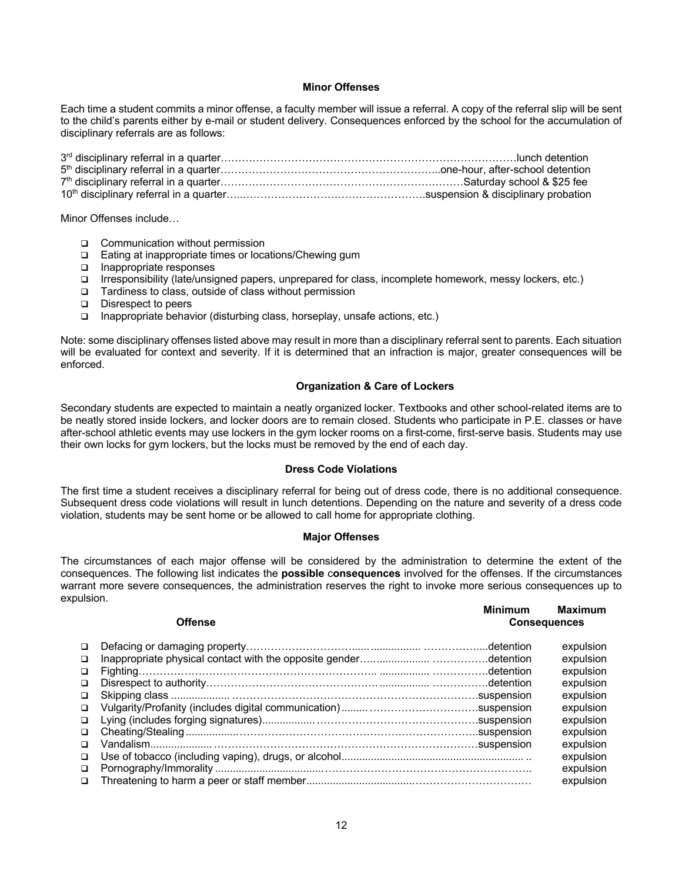#### **Minor Offenses**

Each time a student commits a minor offense, a faculty member will issue a referral. A copy of the referral slip will be sent to the child's parents either by e-mail or student delivery. Consequences enforced by the school for the accumulation of disciplinary referrals are as follows:

Minor Offenses include…

- □ Communication without permission
- □ Eating at inappropriate times or locations/Chewing gum
- q Inappropriate responses
- q Irresponsibility (late/unsigned papers, unprepared for class, incomplete homework, messy lockers, etc.)
- □ Tardiness to class, outside of class without permission
- q Disrespect to peers
- $\Box$  Inappropriate behavior (disturbing class, horseplay, unsafe actions, etc.)

Note: some disciplinary offenses listed above may result in more than a disciplinary referral sent to parents. Each situation will be evaluated for context and severity. If it is determined that an infraction is major, greater consequences will be enforced.

#### **Organization & Care of Lockers**

Secondary students are expected to maintain a neatly organized locker. Textbooks and other school-related items are to be neatly stored inside lockers, and locker doors are to remain closed. Students who participate in P.E. classes or have after-school athletic events may use lockers in the gym locker rooms on a first-come, first-serve basis. Students may use their own locks for gym lockers, but the locks must be removed by the end of each day.

#### **Dress Code Violations**

The first time a student receives a disciplinary referral for being out of dress code, there is no additional consequence. Subsequent dress code violations will result in lunch detentions. Depending on the nature and severity of a dress code violation, students may be sent home or be allowed to call home for appropriate clothing.

#### **Major Offenses**

The circumstances of each major offense will be considered by the administration to determine the extent of the consequences. The following list indicates the **possible** c**onsequences** involved for the offenses. If the circumstances warrant more severe consequences, the administration reserves the right to invoke more serious consequences up to expulsion.

**Minimum Maximum**

| <b>Offense</b> |  | <b>Consequences</b> |           |
|----------------|--|---------------------|-----------|
| $\Box$         |  |                     | expulsion |
| $\Box$         |  |                     | expulsion |
| $\Box$         |  |                     | expulsion |
| $\Box$         |  |                     | expulsion |
| $\Box$         |  |                     | expulsion |
| $\Box$         |  |                     | expulsion |
| $\Box$         |  |                     | expulsion |
| $\Box$         |  |                     | expulsion |
| $\Box$         |  |                     | expulsion |
| $\Box$         |  |                     | expulsion |
| $\Box$         |  |                     | expulsion |
| $\Box$         |  |                     | expulsion |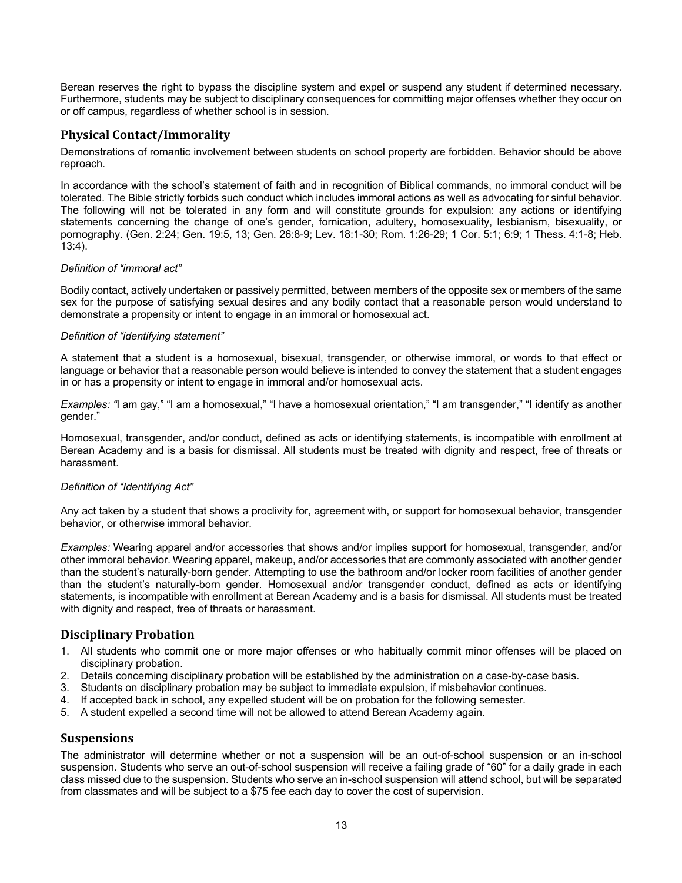Berean reserves the right to bypass the discipline system and expel or suspend any student if determined necessary. Furthermore, students may be subject to disciplinary consequences for committing major offenses whether they occur on or off campus, regardless of whether school is in session.

# **Physical Contact/Immorality**

Demonstrations of romantic involvement between students on school property are forbidden. Behavior should be above reproach.

In accordance with the school's statement of faith and in recognition of Biblical commands, no immoral conduct will be tolerated. The Bible strictly forbids such conduct which includes immoral actions as well as advocating for sinful behavior. The following will not be tolerated in any form and will constitute grounds for expulsion: any actions or identifying statements concerning the change of one's gender, fornication, adultery, homosexuality, lesbianism, bisexuality, or pornography. (Gen. 2:24; Gen. 19:5, 13; Gen. 26:8-9; Lev. 18:1-30; Rom. 1:26-29; 1 Cor. 5:1; 6:9; 1 Thess. 4:1-8; Heb. 13:4).

#### *Definition of "immoral act"*

Bodily contact, actively undertaken or passively permitted, between members of the opposite sex or members of the same sex for the purpose of satisfying sexual desires and any bodily contact that a reasonable person would understand to demonstrate a propensity or intent to engage in an immoral or homosexual act.

#### *Definition of "identifying statement"*

A statement that a student is a homosexual, bisexual, transgender, or otherwise immoral, or words to that effect or language or behavior that a reasonable person would believe is intended to convey the statement that a student engages in or has a propensity or intent to engage in immoral and/or homosexual acts.

*Examples: "*I am gay," "I am a homosexual," "I have a homosexual orientation," "I am transgender," "I identify as another gender."

Homosexual, transgender, and/or conduct, defined as acts or identifying statements, is incompatible with enrollment at Berean Academy and is a basis for dismissal. All students must be treated with dignity and respect, free of threats or harassment.

#### *Definition of "Identifying Act"*

Any act taken by a student that shows a proclivity for, agreement with, or support for homosexual behavior, transgender behavior, or otherwise immoral behavior.

*Examples:* Wearing apparel and/or accessories that shows and/or implies support for homosexual, transgender, and/or other immoral behavior. Wearing apparel, makeup, and/or accessories that are commonly associated with another gender than the student's naturally-born gender. Attempting to use the bathroom and/or locker room facilities of another gender than the student's naturally-born gender. Homosexual and/or transgender conduct, defined as acts or identifying statements, is incompatible with enrollment at Berean Academy and is a basis for dismissal. All students must be treated with dignity and respect, free of threats or harassment.

# **Disciplinary Probation**

- 1. All students who commit one or more major offenses or who habitually commit minor offenses will be placed on disciplinary probation.
- 2. Details concerning disciplinary probation will be established by the administration on a case-by-case basis.
- 3. Students on disciplinary probation may be subject to immediate expulsion, if misbehavior continues.
- 4. If accepted back in school, any expelled student will be on probation for the following semester.
- 5. A student expelled a second time will not be allowed to attend Berean Academy again.

## **Suspensions**

The administrator will determine whether or not a suspension will be an out-of-school suspension or an in-school suspension. Students who serve an out-of-school suspension will receive a failing grade of "60" for a daily grade in each class missed due to the suspension. Students who serve an in-school suspension will attend school, but will be separated from classmates and will be subject to a \$75 fee each day to cover the cost of supervision.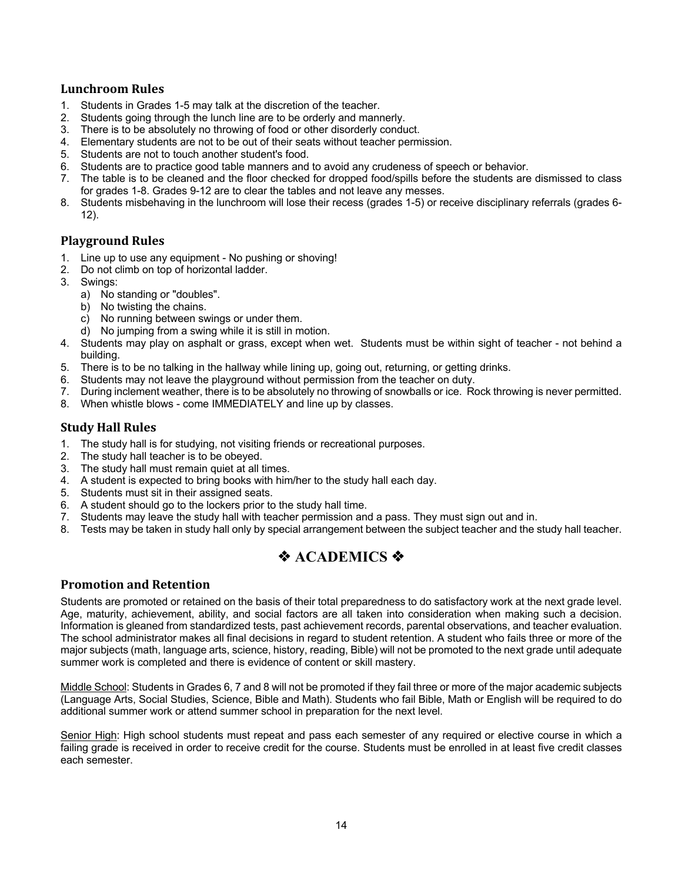# **Lunchroom Rules**

- 1. Students in Grades 1-5 may talk at the discretion of the teacher.
- 2. Students going through the lunch line are to be orderly and mannerly.
- 3. There is to be absolutely no throwing of food or other disorderly conduct.
- 4. Elementary students are not to be out of their seats without teacher permission.
- 5. Students are not to touch another student's food.
- 6. Students are to practice good table manners and to avoid any crudeness of speech or behavior.
- 7. The table is to be cleaned and the floor checked for dropped food/spills before the students are dismissed to class for grades 1-8. Grades 9-12 are to clear the tables and not leave any messes.
- 8. Students misbehaving in the lunchroom will lose their recess (grades 1-5) or receive disciplinary referrals (grades 6- 12).

#### **Playground Rules**

- 1. Line up to use any equipment No pushing or shoving!
- 2. Do not climb on top of horizontal ladder.
- 3. Swings:
	- a) No standing or "doubles".
	- b) No twisting the chains.
	- c) No running between swings or under them.
	- d) No jumping from a swing while it is still in motion.
- 4. Students may play on asphalt or grass, except when wet. Students must be within sight of teacher not behind a building.
- 5. There is to be no talking in the hallway while lining up, going out, returning, or getting drinks.
- 6. Students may not leave the playground without permission from the teacher on duty.
- 7. During inclement weather, there is to be absolutely no throwing of snowballs or ice. Rock throwing is never permitted.
- 8. When whistle blows come IMMEDIATELY and line up by classes.

## **Study Hall Rules**

- 1. The study hall is for studying, not visiting friends or recreational purposes.
- 2. The study hall teacher is to be obeyed.
- 3. The study hall must remain quiet at all times.
- 4. A student is expected to bring books with him/her to the study hall each day.
- 5. Students must sit in their assigned seats.
- 6. A student should go to the lockers prior to the study hall time.
- 7. Students may leave the study hall with teacher permission and a pass. They must sign out and in.
- 8. Tests may be taken in study hall only by special arrangement between the subject teacher and the study hall teacher.

# *I* ACADEMICS �

#### **Promotion and Retention**

Students are promoted or retained on the basis of their total preparedness to do satisfactory work at the next grade level. Age, maturity, achievement, ability, and social factors are all taken into consideration when making such a decision. Information is gleaned from standardized tests, past achievement records, parental observations, and teacher evaluation. The school administrator makes all final decisions in regard to student retention. A student who fails three or more of the major subjects (math, language arts, science, history, reading, Bible) will not be promoted to the next grade until adequate summer work is completed and there is evidence of content or skill mastery.

Middle School: Students in Grades 6, 7 and 8 will not be promoted if they fail three or more of the major academic subjects (Language Arts, Social Studies, Science, Bible and Math). Students who fail Bible, Math or English will be required to do additional summer work or attend summer school in preparation for the next level.

Senior High: High school students must repeat and pass each semester of any required or elective course in which a failing grade is received in order to receive credit for the course. Students must be enrolled in at least five credit classes each semester.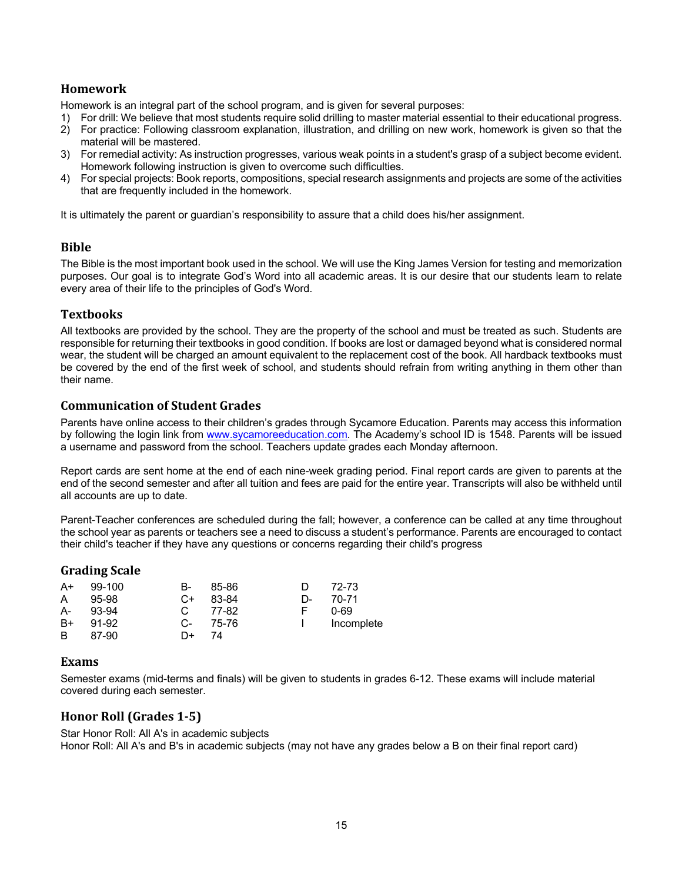# **Homework**

Homework is an integral part of the school program, and is given for several purposes:

- 1) For drill: We believe that most students require solid drilling to master material essential to their educational progress.
- 2) For practice: Following classroom explanation, illustration, and drilling on new work, homework is given so that the material will be mastered.
- 3) For remedial activity: As instruction progresses, various weak points in a student's grasp of a subject become evident. Homework following instruction is given to overcome such difficulties.
- 4) For special projects: Book reports, compositions, special research assignments and projects are some of the activities that are frequently included in the homework.

It is ultimately the parent or guardian's responsibility to assure that a child does his/her assignment.

## **Bible**

The Bible is the most important book used in the school. We will use the King James Version for testing and memorization purposes. Our goal is to integrate God's Word into all academic areas. It is our desire that our students learn to relate every area of their life to the principles of God's Word.

#### **Textbooks**

All textbooks are provided by the school. They are the property of the school and must be treated as such. Students are responsible for returning their textbooks in good condition. If books are lost or damaged beyond what is considered normal wear, the student will be charged an amount equivalent to the replacement cost of the book. All hardback textbooks must be covered by the end of the first week of school, and students should refrain from writing anything in them other than their name.

#### **Communication of Student Grades**

Parents have online access to their children's grades through Sycamore Education. Parents may access this information by following the login link from www.sycamoreeducation.com. The Academy's school ID is 1548. Parents will be issued a username and password from the school. Teachers update grades each Monday afternoon.

Report cards are sent home at the end of each nine-week grading period. Final report cards are given to parents at the end of the second semester and after all tuition and fees are paid for the entire year. Transcripts will also be withheld until all accounts are up to date.

Parent-Teacher conferences are scheduled during the fall; however, a conference can be called at any time throughout the school year as parents or teachers see a need to discuss a student's performance. Parents are encouraged to contact their child's teacher if they have any questions or concerns regarding their child's progress

#### **Grading Scale**

| $A+$ | $99-100$ | В-  | 85-86 | D  | 72-73      |
|------|----------|-----|-------|----|------------|
| A    | 95-98    | C+  | 83-84 | D- | 70-71      |
| A-   | 93-94    |     | 77-82 | F. | 0-69       |
| $B+$ | 91-92    | .C- | 75-76 |    | Incomplete |
| B    | 87-90    | D+  | 74    |    |            |

## **Exams**

Semester exams (mid-terms and finals) will be given to students in grades 6-12. These exams will include material covered during each semester.

# **Honor Roll (Grades 1-5)**

Star Honor Roll: All A's in academic subjects Honor Roll: All A's and B's in academic subjects (may not have any grades below a B on their final report card)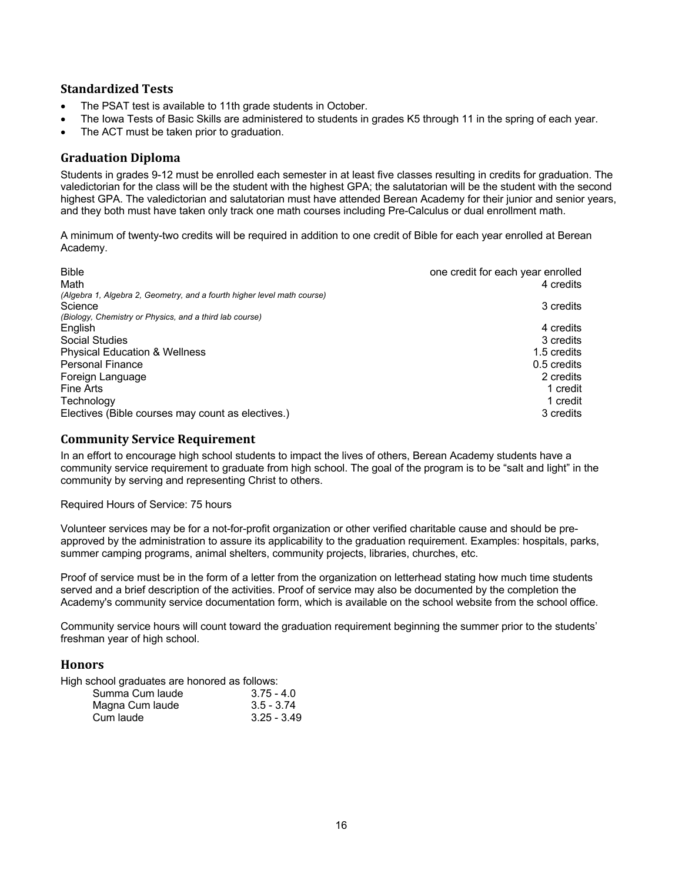# **Standardized Tests**

- The PSAT test is available to 11th grade students in October.
- The Iowa Tests of Basic Skills are administered to students in grades K5 through 11 in the spring of each year.
- The ACT must be taken prior to graduation.

# **Graduation Diploma**

Students in grades 9-12 must be enrolled each semester in at least five classes resulting in credits for graduation. The valedictorian for the class will be the student with the highest GPA; the salutatorian will be the student with the second highest GPA. The valedictorian and salutatorian must have attended Berean Academy for their junior and senior years, and they both must have taken only track one math courses including Pre-Calculus or dual enrollment math.

A minimum of twenty-two credits will be required in addition to one credit of Bible for each year enrolled at Berean Academy.

| <b>Bible</b>                                                                         | one credit for each year enrolled |
|--------------------------------------------------------------------------------------|-----------------------------------|
| Math                                                                                 | 4 credits                         |
| (Algebra 1, Algebra 2, Geometry, and a fourth higher level math course)<br>Science   | 3 credits                         |
| (Biology, Chemistry or Physics, and a third lab course)<br>English<br>Social Studies | 4 credits<br>3 credits            |
| <b>Physical Education &amp; Wellness</b>                                             | 1.5 credits                       |
| <b>Personal Finance</b>                                                              | 0.5 credits                       |
| Foreign Language                                                                     | 2 credits                         |
| Fine Arts                                                                            | 1 credit                          |
| Technology                                                                           | 1 credit                          |
| Electives (Bible courses may count as electives.)                                    | 3 credits                         |

#### **Community Service Requirement**

In an effort to encourage high school students to impact the lives of others, Berean Academy students have a community service requirement to graduate from high school. The goal of the program is to be "salt and light" in the community by serving and representing Christ to others.

Required Hours of Service: 75 hours

Volunteer services may be for a not-for-profit organization or other verified charitable cause and should be preapproved by the administration to assure its applicability to the graduation requirement. Examples: hospitals, parks, summer camping programs, animal shelters, community projects, libraries, churches, etc.

Proof of service must be in the form of a letter from the organization on letterhead stating how much time students served and a brief description of the activities. Proof of service may also be documented by the completion the Academy's community service documentation form, which is available on the school website from the school office.

Community service hours will count toward the graduation requirement beginning the summer prior to the students' freshman year of high school.

## **Honors**

High school graduates are honored as follows:

| Summa Cum laude | $3.75 - 4.0$  |
|-----------------|---------------|
| Magna Cum laude | $3.5 - 3.74$  |
| Cum laude       | $3.25 - 3.49$ |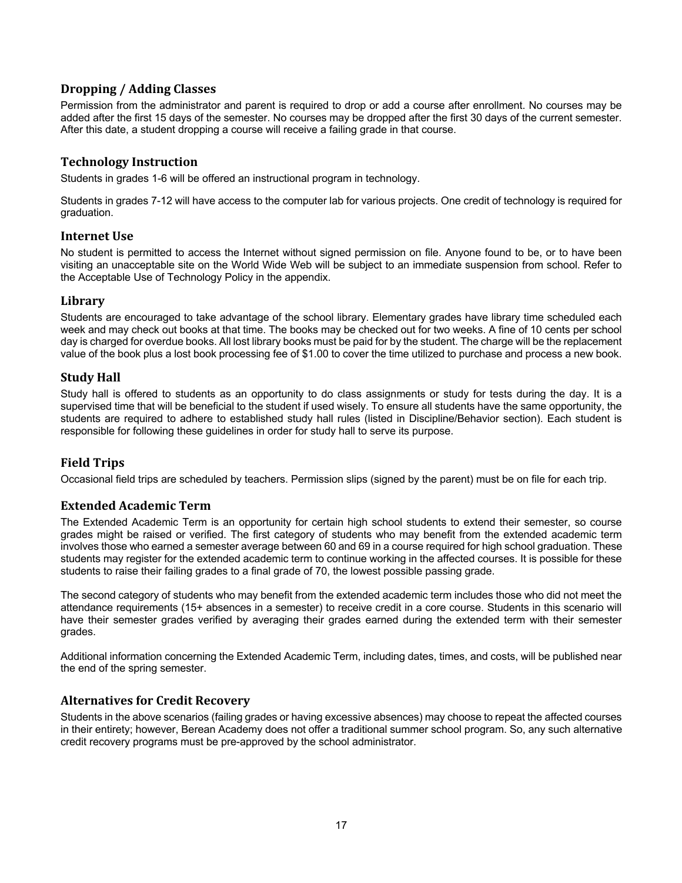# **Dropping / Adding Classes**

Permission from the administrator and parent is required to drop or add a course after enrollment. No courses may be added after the first 15 days of the semester. No courses may be dropped after the first 30 days of the current semester. After this date, a student dropping a course will receive a failing grade in that course.

# **Technology Instruction**

Students in grades 1-6 will be offered an instructional program in technology.

Students in grades 7-12 will have access to the computer lab for various projects. One credit of technology is required for graduation.

#### **Internet Use**

No student is permitted to access the Internet without signed permission on file. Anyone found to be, or to have been visiting an unacceptable site on the World Wide Web will be subject to an immediate suspension from school. Refer to the Acceptable Use of Technology Policy in the appendix.

## **Library**

Students are encouraged to take advantage of the school library. Elementary grades have library time scheduled each week and may check out books at that time. The books may be checked out for two weeks. A fine of 10 cents per school day is charged for overdue books. All lost library books must be paid for by the student. The charge will be the replacement value of the book plus a lost book processing fee of \$1.00 to cover the time utilized to purchase and process a new book.

# **Study Hall**

Study hall is offered to students as an opportunity to do class assignments or study for tests during the day. It is a supervised time that will be beneficial to the student if used wisely. To ensure all students have the same opportunity, the students are required to adhere to established study hall rules (listed in Discipline/Behavior section). Each student is responsible for following these guidelines in order for study hall to serve its purpose.

# **Field Trips**

Occasional field trips are scheduled by teachers. Permission slips (signed by the parent) must be on file for each trip.

## **Extended Academic Term**

The Extended Academic Term is an opportunity for certain high school students to extend their semester, so course grades might be raised or verified. The first category of students who may benefit from the extended academic term involves those who earned a semester average between 60 and 69 in a course required for high school graduation. These students may register for the extended academic term to continue working in the affected courses. It is possible for these students to raise their failing grades to a final grade of 70, the lowest possible passing grade.

The second category of students who may benefit from the extended academic term includes those who did not meet the attendance requirements (15+ absences in a semester) to receive credit in a core course. Students in this scenario will have their semester grades verified by averaging their grades earned during the extended term with their semester grades.

Additional information concerning the Extended Academic Term, including dates, times, and costs, will be published near the end of the spring semester.

## **Alternatives for Credit Recovery**

Students in the above scenarios (failing grades or having excessive absences) may choose to repeat the affected courses in their entirety; however, Berean Academy does not offer a traditional summer school program. So, any such alternative credit recovery programs must be pre-approved by the school administrator.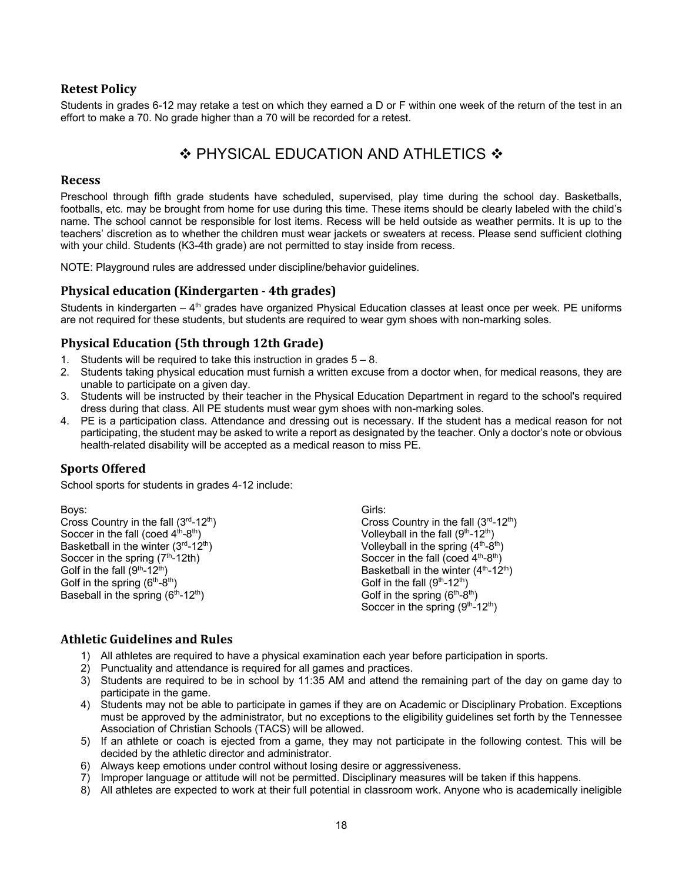# **Retest Policy**

Students in grades 6-12 may retake a test on which they earned a D or F within one week of the return of the test in an effort to make a 70. No grade higher than a 70 will be recorded for a retest.

# $\div$  PHYSICAL EDUCATION AND ATHLETICS  $\div$

#### **Recess**

Preschool through fifth grade students have scheduled, supervised, play time during the school day. Basketballs, footballs, etc. may be brought from home for use during this time. These items should be clearly labeled with the child's name. The school cannot be responsible for lost items. Recess will be held outside as weather permits. It is up to the teachers' discretion as to whether the children must wear jackets or sweaters at recess. Please send sufficient clothing with your child. Students (K3-4th grade) are not permitted to stay inside from recess.

NOTE: Playground rules are addressed under discipline/behavior guidelines.

## **Physical education (Kindergarten - 4th grades)**

Students in kindergarten – 4<sup>th</sup> grades have organized Physical Education classes at least once per week. PE uniforms are not required for these students, but students are required to wear gym shoes with non-marking soles.

# **Physical Education (5th through 12th Grade)**

- 1. Students will be required to take this instruction in grades  $5 8$ .
- 2. Students taking physical education must furnish a written excuse from a doctor when, for medical reasons, they are unable to participate on a given day.
- 3. Students will be instructed by their teacher in the Physical Education Department in regard to the school's required dress during that class. All PE students must wear gym shoes with non-marking soles.
- 4. PE is a participation class. Attendance and dressing out is necessary. If the student has a medical reason for not participating, the student may be asked to write a report as designated by the teacher. Only a doctor's note or obvious health-related disability will be accepted as a medical reason to miss PE.

## **Sports Offered**

School sports for students in grades 4-12 include:

Boys: Cross Country in the fall  $(3<sup>rd</sup>-12<sup>th</sup>)$ Soccer in the fall (coed  $4<sup>th</sup>-8<sup>th</sup>$ ) Basketball in the winter  $(3<sup>rd</sup>-12<sup>th</sup>)$ Soccer in the spring  $(7<sup>th</sup>-12th)$ Golf in the fall  $(9<sup>th</sup>-12<sup>th</sup>)$ Golf in the spring  $(6<sup>th</sup>-8<sup>th</sup>)$ Baseball in the spring  $(6<sup>th</sup>-12<sup>th</sup>)$ 

Girls: Cross Country in the fall  $(3<sup>rd</sup>-12<sup>th</sup>)$ Volleyball in the fall  $(9<sup>th</sup>-12<sup>th</sup>)$ Volleyball in the spring  $(4<sup>th</sup>-8<sup>th</sup>)$ Soccer in the fall (coed  $4<sup>th</sup>-8<sup>th</sup>$ ) Basketball in the winter  $(4<sup>th</sup>-12<sup>th</sup>)$ Golf in the fall  $(9<sup>th</sup>-12<sup>th</sup>)$ Golf in the spring  $(6<sup>th</sup>-8<sup>th</sup>)$ Soccer in the spring  $(9<sup>th</sup>-12<sup>th</sup>)$ 

## **Athletic Guidelines and Rules**

- 1) All athletes are required to have a physical examination each year before participation in sports.
- 2) Punctuality and attendance is required for all games and practices.
- 3) Students are required to be in school by 11:35 AM and attend the remaining part of the day on game day to participate in the game.
- 4) Students may not be able to participate in games if they are on Academic or Disciplinary Probation. Exceptions must be approved by the administrator, but no exceptions to the eligibility guidelines set forth by the Tennessee Association of Christian Schools (TACS) will be allowed.
- 5) If an athlete or coach is ejected from a game, they may not participate in the following contest. This will be decided by the athletic director and administrator.
- 6) Always keep emotions under control without losing desire or aggressiveness.
- 7) Improper language or attitude will not be permitted. Disciplinary measures will be taken if this happens.
- 8) All athletes are expected to work at their full potential in classroom work. Anyone who is academically ineligible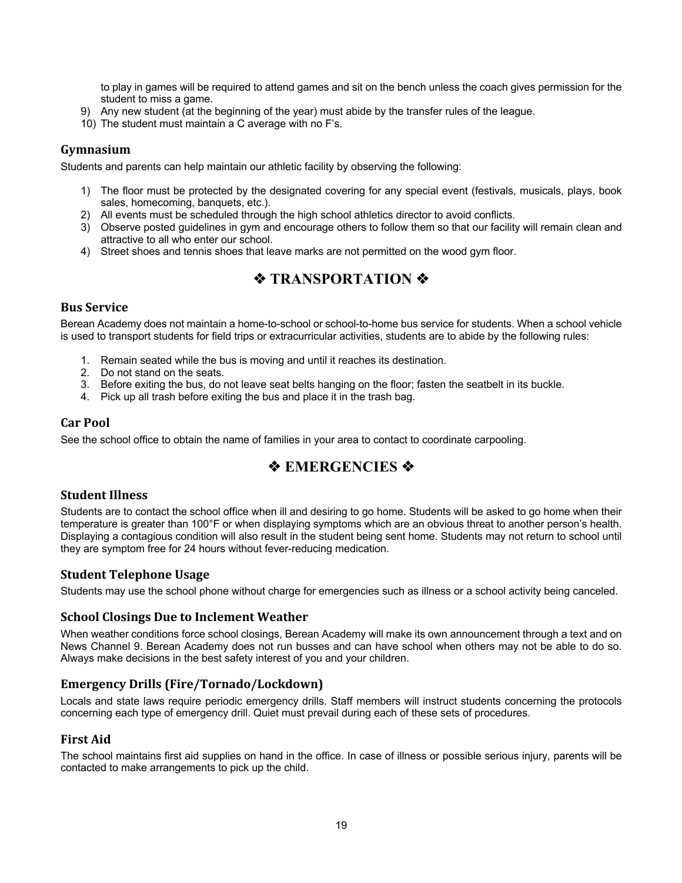to play in games will be required to attend games and sit on the bench unless the coach gives permission for the student to miss a game.

- 9) Any new student (at the beginning of the year) must abide by the transfer rules of the league.
- 10) The student must maintain a C average with no F's.

## **Gymnasium**

Students and parents can help maintain our athletic facility by observing the following:

- 1) The floor must be protected by the designated covering for any special event (festivals, musicals, plays, book sales, homecoming, banquets, etc.).
- 2) All events must be scheduled through the high school athletics director to avoid conflicts.
- 3) Observe posted guidelines in gym and encourage others to follow them so that our facility will remain clean and attractive to all who enter our school.
- 4) Street shoes and tennis shoes that leave marks are not permitted on the wood gym floor.

# **❖ TRANSPORTATION ❖**

## **Bus Service**

Berean Academy does not maintain a home-to-school or school-to-home bus service for students. When a school vehicle is used to transport students for field trips or extracurricular activities, students are to abide by the following rules:

- 1. Remain seated while the bus is moving and until it reaches its destination.
- 2. Do not stand on the seats.
- 3. Before exiting the bus, do not leave seat belts hanging on the floor; fasten the seatbelt in its buckle.
- 4. Pick up all trash before exiting the bus and place it in the trash bag.

#### **Car Pool**

See the school office to obtain the name of families in your area to contact to coordinate carpooling.

# $\triangle$  **EMERGENCIES**  $\diamond$

## **Student Illness**

Students are to contact the school office when ill and desiring to go home. Students will be asked to go home when their temperature is greater than 100°F or when displaying symptoms which are an obvious threat to another person's health. Displaying a contagious condition will also result in the student being sent home. Students may not return to school until they are symptom free for 24 hours without fever-reducing medication.

## **Student Telephone Usage**

Students may use the school phone without charge for emergencies such as illness or a school activity being canceled.

#### **School Closings Due to Inclement Weather**

When weather conditions force school closings, Berean Academy will make its own announcement through a text and on News Channel 9. Berean Academy does not run busses and can have school when others may not be able to do so. Always make decisions in the best safety interest of you and your children.

# **Emergency Drills (Fire/Tornado/Lockdown)**

Locals and state laws require periodic emergency drills. Staff members will instruct students concerning the protocols concerning each type of emergency drill. Quiet must prevail during each of these sets of procedures.

## **First Aid**

The school maintains first aid supplies on hand in the office. In case of illness or possible serious injury, parents will be contacted to make arrangements to pick up the child.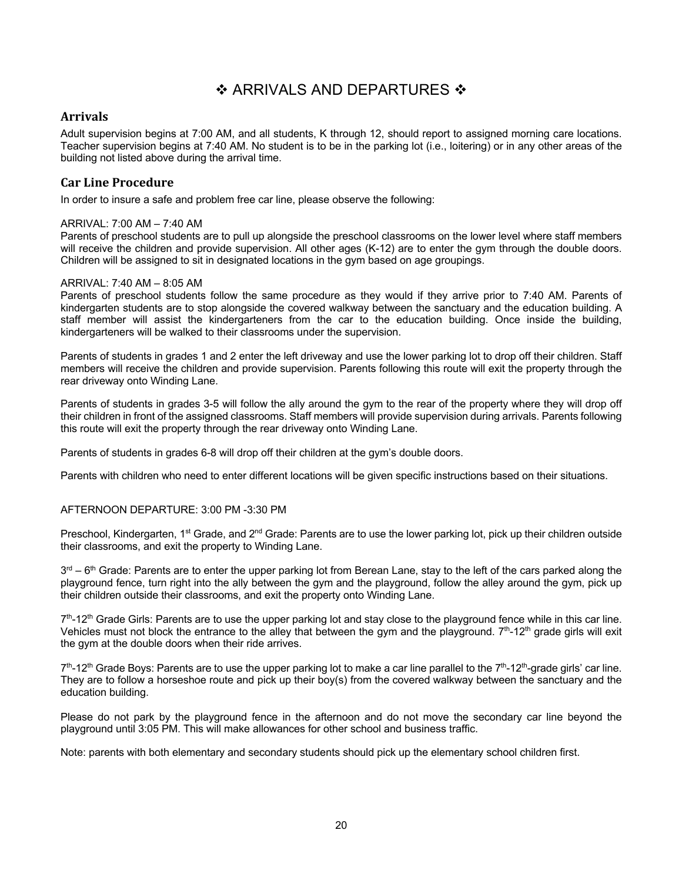# ❖ ARRIVALS AND DEPARTURES ❖

## **Arrivals**

Adult supervision begins at 7:00 AM, and all students, K through 12, should report to assigned morning care locations. Teacher supervision begins at 7:40 AM. No student is to be in the parking lot (i.e., loitering) or in any other areas of the building not listed above during the arrival time.

#### **Car Line Procedure**

In order to insure a safe and problem free car line, please observe the following:

#### ARRIVAL: 7:00 AM – 7:40 AM

Parents of preschool students are to pull up alongside the preschool classrooms on the lower level where staff members will receive the children and provide supervision. All other ages (K-12) are to enter the gym through the double doors. Children will be assigned to sit in designated locations in the gym based on age groupings.

#### ARRIVAL: 7:40 AM – 8:05 AM

Parents of preschool students follow the same procedure as they would if they arrive prior to 7:40 AM. Parents of kindergarten students are to stop alongside the covered walkway between the sanctuary and the education building. A staff member will assist the kindergarteners from the car to the education building. Once inside the building, kindergarteners will be walked to their classrooms under the supervision.

Parents of students in grades 1 and 2 enter the left driveway and use the lower parking lot to drop off their children. Staff members will receive the children and provide supervision. Parents following this route will exit the property through the rear driveway onto Winding Lane.

Parents of students in grades 3-5 will follow the ally around the gym to the rear of the property where they will drop off their children in front of the assigned classrooms. Staff members will provide supervision during arrivals. Parents following this route will exit the property through the rear driveway onto Winding Lane.

Parents of students in grades 6-8 will drop off their children at the gym's double doors.

Parents with children who need to enter different locations will be given specific instructions based on their situations.

#### AFTERNOON DEPARTURE: 3:00 PM -3:30 PM

Preschool, Kindergarten, 1<sup>st</sup> Grade, and 2<sup>nd</sup> Grade: Parents are to use the lower parking lot, pick up their children outside their classrooms, and exit the property to Winding Lane.

 $3<sup>rd</sup> - 6<sup>th</sup>$  Grade: Parents are to enter the upper parking lot from Berean Lane, stay to the left of the cars parked along the playground fence, turn right into the ally between the gym and the playground, follow the alley around the gym, pick up their children outside their classrooms, and exit the property onto Winding Lane.

 $7<sup>th</sup>$ -12<sup>th</sup> Grade Girls: Parents are to use the upper parking lot and stay close to the playground fence while in this car line. Vehicles must not block the entrance to the alley that between the gym and the playground.  $7<sup>th</sup>$ -12<sup>th</sup> grade girls will exit the gym at the double doors when their ride arrives.

 $7<sup>th</sup>$ -12<sup>th</sup> Grade Boys: Parents are to use the upper parking lot to make a car line parallel to the  $7<sup>th</sup>$ -12<sup>th</sup>-grade girls' car line. They are to follow a horseshoe route and pick up their boy(s) from the covered walkway between the sanctuary and the education building.

Please do not park by the playground fence in the afternoon and do not move the secondary car line beyond the playground until 3:05 PM. This will make allowances for other school and business traffic.

Note: parents with both elementary and secondary students should pick up the elementary school children first.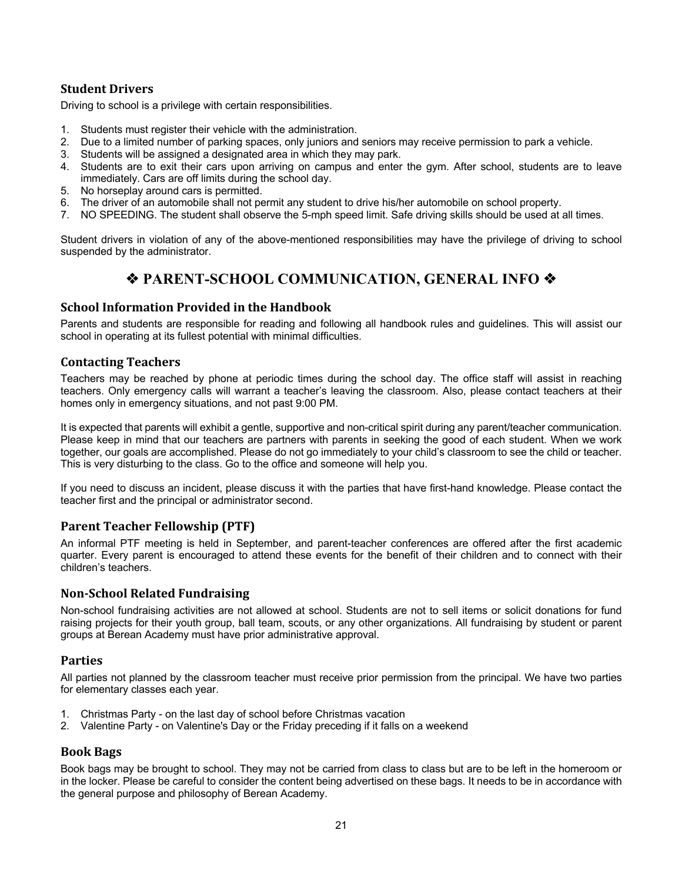# **Student Drivers**

Driving to school is a privilege with certain responsibilities.

- 1. Students must register their vehicle with the administration.
- 2. Due to a limited number of parking spaces, only juniors and seniors may receive permission to park a vehicle.
- 3. Students will be assigned a designated area in which they may park.
- 4. Students are to exit their cars upon arriving on campus and enter the gym. After school, students are to leave immediately. Cars are off limits during the school day.
- 5. No horseplay around cars is permitted.
- 6. The driver of an automobile shall not permit any student to drive his/her automobile on school property.
- 7. NO SPEEDING. The student shall observe the 5-mph speed limit. Safe driving skills should be used at all times.

Student drivers in violation of any of the above-mentioned responsibilities may have the privilege of driving to school suspended by the administrator.

# **◆ PARENT-SCHOOL COMMUNICATION, GENERAL INFO ◆**

## **School Information Provided in the Handbook**

Parents and students are responsible for reading and following all handbook rules and guidelines. This will assist our school in operating at its fullest potential with minimal difficulties.

#### **Contacting Teachers**

Teachers may be reached by phone at periodic times during the school day. The office staff will assist in reaching teachers. Only emergency calls will warrant a teacher's leaving the classroom. Also, please contact teachers at their homes only in emergency situations, and not past 9:00 PM.

It is expected that parents will exhibit a gentle, supportive and non-critical spirit during any parent/teacher communication. Please keep in mind that our teachers are partners with parents in seeking the good of each student. When we work together, our goals are accomplished. Please do not go immediately to your child's classroom to see the child or teacher. This is very disturbing to the class. Go to the office and someone will help you.

If you need to discuss an incident, please discuss it with the parties that have first-hand knowledge. Please contact the teacher first and the principal or administrator second.

## **Parent Teacher Fellowship (PTF)**

An informal PTF meeting is held in September, and parent-teacher conferences are offered after the first academic quarter. Every parent is encouraged to attend these events for the benefit of their children and to connect with their children's teachers.

## **Non-School Related Fundraising**

Non-school fundraising activities are not allowed at school. Students are not to sell items or solicit donations for fund raising projects for their youth group, ball team, scouts, or any other organizations. All fundraising by student or parent groups at Berean Academy must have prior administrative approval.

#### **Parties**

All parties not planned by the classroom teacher must receive prior permission from the principal. We have two parties for elementary classes each year.

- 1. Christmas Party on the last day of school before Christmas vacation
- 2. Valentine Party on Valentine's Day or the Friday preceding if it falls on a weekend

#### **Book Bags**

Book bags may be brought to school. They may not be carried from class to class but are to be left in the homeroom or in the locker. Please be careful to consider the content being advertised on these bags. It needs to be in accordance with the general purpose and philosophy of Berean Academy.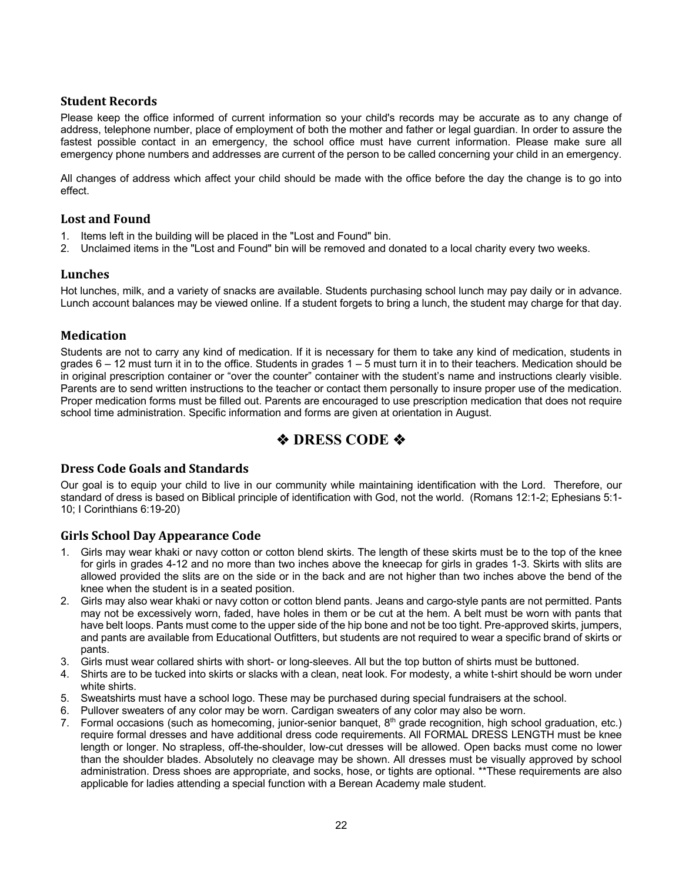## **Student Records**

Please keep the office informed of current information so your child's records may be accurate as to any change of address, telephone number, place of employment of both the mother and father or legal guardian. In order to assure the fastest possible contact in an emergency, the school office must have current information. Please make sure all emergency phone numbers and addresses are current of the person to be called concerning your child in an emergency.

All changes of address which affect your child should be made with the office before the day the change is to go into effect.

## Lost and Found

- 1. Items left in the building will be placed in the "Lost and Found" bin.
- 2. Unclaimed items in the "Lost and Found" bin will be removed and donated to a local charity every two weeks.

# **Lunches**

Hot lunches, milk, and a variety of snacks are available. Students purchasing school lunch may pay daily or in advance. Lunch account balances may be viewed online. If a student forgets to bring a lunch, the student may charge for that day.

## **Medication**

Students are not to carry any kind of medication. If it is necessary for them to take any kind of medication, students in grades 6 – 12 must turn it in to the office. Students in grades 1 – 5 must turn it in to their teachers. Medication should be in original prescription container or "over the counter" container with the student's name and instructions clearly visible. Parents are to send written instructions to the teacher or contact them personally to insure proper use of the medication. Proper medication forms must be filled out. Parents are encouraged to use prescription medication that does not require school time administration. Specific information and forms are given at orientation in August.

# *<b>* $\triangle$  *DRESS CODE*  $\triangle$

# **Dress Code Goals and Standards**

Our goal is to equip your child to live in our community while maintaining identification with the Lord. Therefore, our standard of dress is based on Biblical principle of identification with God, not the world. (Romans 12:1-2; Ephesians 5:1- 10; I Corinthians 6:19-20)

# **Girls School Day Appearance Code**

- 1. Girls may wear khaki or navy cotton or cotton blend skirts. The length of these skirts must be to the top of the knee for girls in grades 4-12 and no more than two inches above the kneecap for girls in grades 1-3. Skirts with slits are allowed provided the slits are on the side or in the back and are not higher than two inches above the bend of the knee when the student is in a seated position.
- 2. Girls may also wear khaki or navy cotton or cotton blend pants. Jeans and cargo-style pants are not permitted. Pants may not be excessively worn, faded, have holes in them or be cut at the hem. A belt must be worn with pants that have belt loops. Pants must come to the upper side of the hip bone and not be too tight. Pre-approved skirts, jumpers, and pants are available from Educational Outfitters, but students are not required to wear a specific brand of skirts or pants.
- 3. Girls must wear collared shirts with short- or long-sleeves. All but the top button of shirts must be buttoned.
- 4. Shirts are to be tucked into skirts or slacks with a clean, neat look. For modesty, a white t-shirt should be worn under white shirts.
- 5. Sweatshirts must have a school logo. These may be purchased during special fundraisers at the school.
- 6. Pullover sweaters of any color may be worn. Cardigan sweaters of any color may also be worn.
- 7. Formal occasions (such as homecoming, junior-senior banquet,  $8<sup>th</sup>$  grade recognition, high school graduation, etc.) require formal dresses and have additional dress code requirements. All FORMAL DRESS LENGTH must be knee length or longer. No strapless, off-the-shoulder, low-cut dresses will be allowed. Open backs must come no lower than the shoulder blades. Absolutely no cleavage may be shown. All dresses must be visually approved by school administration. Dress shoes are appropriate, and socks, hose, or tights are optional. \*\*These requirements are also applicable for ladies attending a special function with a Berean Academy male student.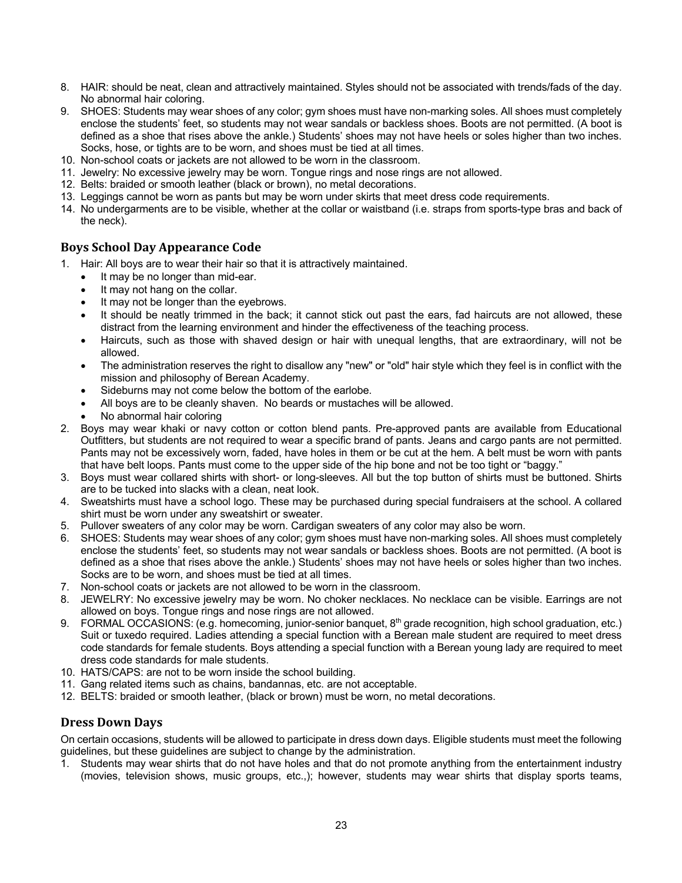- 8. HAIR: should be neat, clean and attractively maintained. Styles should not be associated with trends/fads of the day. No abnormal hair coloring.
- 9. SHOES: Students may wear shoes of any color; gym shoes must have non-marking soles. All shoes must completely enclose the students' feet, so students may not wear sandals or backless shoes. Boots are not permitted. (A boot is defined as a shoe that rises above the ankle.) Students' shoes may not have heels or soles higher than two inches. Socks, hose, or tights are to be worn, and shoes must be tied at all times.
- 10. Non-school coats or jackets are not allowed to be worn in the classroom.
- 11. Jewelry: No excessive jewelry may be worn. Tongue rings and nose rings are not allowed.
- 12. Belts: braided or smooth leather (black or brown), no metal decorations.
- 13. Leggings cannot be worn as pants but may be worn under skirts that meet dress code requirements.
- 14. No undergarments are to be visible, whether at the collar or waistband (i.e. straps from sports-type bras and back of the neck).

## **Boys School Day Appearance Code**

- 1. Hair: All boys are to wear their hair so that it is attractively maintained.
	- It may be no longer than mid-ear.
	- It may not hang on the collar.
	- It may not be longer than the evebrows.
	- It should be neatly trimmed in the back; it cannot stick out past the ears, fad haircuts are not allowed, these distract from the learning environment and hinder the effectiveness of the teaching process.
	- Haircuts, such as those with shaved design or hair with unequal lengths, that are extraordinary, will not be allowed.
	- The administration reserves the right to disallow any "new" or "old" hair style which they feel is in conflict with the mission and philosophy of Berean Academy.
	- Sideburns may not come below the bottom of the earlobe.
	- All boys are to be cleanly shaven. No beards or mustaches will be allowed.
	- No abnormal hair coloring
- 2. Boys may wear khaki or navy cotton or cotton blend pants. Pre-approved pants are available from Educational Outfitters, but students are not required to wear a specific brand of pants. Jeans and cargo pants are not permitted. Pants may not be excessively worn, faded, have holes in them or be cut at the hem. A belt must be worn with pants that have belt loops. Pants must come to the upper side of the hip bone and not be too tight or "baggy."
- 3. Boys must wear collared shirts with short- or long-sleeves. All but the top button of shirts must be buttoned. Shirts are to be tucked into slacks with a clean, neat look.
- 4. Sweatshirts must have a school logo. These may be purchased during special fundraisers at the school. A collared shirt must be worn under any sweatshirt or sweater.
- 5. Pullover sweaters of any color may be worn. Cardigan sweaters of any color may also be worn.
- 6. SHOES: Students may wear shoes of any color; gym shoes must have non-marking soles. All shoes must completely enclose the students' feet, so students may not wear sandals or backless shoes. Boots are not permitted. (A boot is defined as a shoe that rises above the ankle.) Students' shoes may not have heels or soles higher than two inches. Socks are to be worn, and shoes must be tied at all times.
- 7. Non-school coats or jackets are not allowed to be worn in the classroom.
- 8. JEWELRY: No excessive jewelry may be worn. No choker necklaces. No necklace can be visible. Earrings are not allowed on boys. Tongue rings and nose rings are not allowed.
- 9. FORMAL OCCASIONS: (e.g. homecoming, junior-senior banquet, 8<sup>th</sup> grade recognition, high school graduation, etc.) Suit or tuxedo required. Ladies attending a special function with a Berean male student are required to meet dress code standards for female students. Boys attending a special function with a Berean young lady are required to meet dress code standards for male students.
- 10. HATS/CAPS: are not to be worn inside the school building.
- 11. Gang related items such as chains, bandannas, etc. are not acceptable.
- 12. BELTS: braided or smooth leather, (black or brown) must be worn, no metal decorations.

#### **Dress Down Days**

On certain occasions, students will be allowed to participate in dress down days. Eligible students must meet the following guidelines, but these guidelines are subject to change by the administration.

1. Students may wear shirts that do not have holes and that do not promote anything from the entertainment industry (movies, television shows, music groups, etc.,); however, students may wear shirts that display sports teams,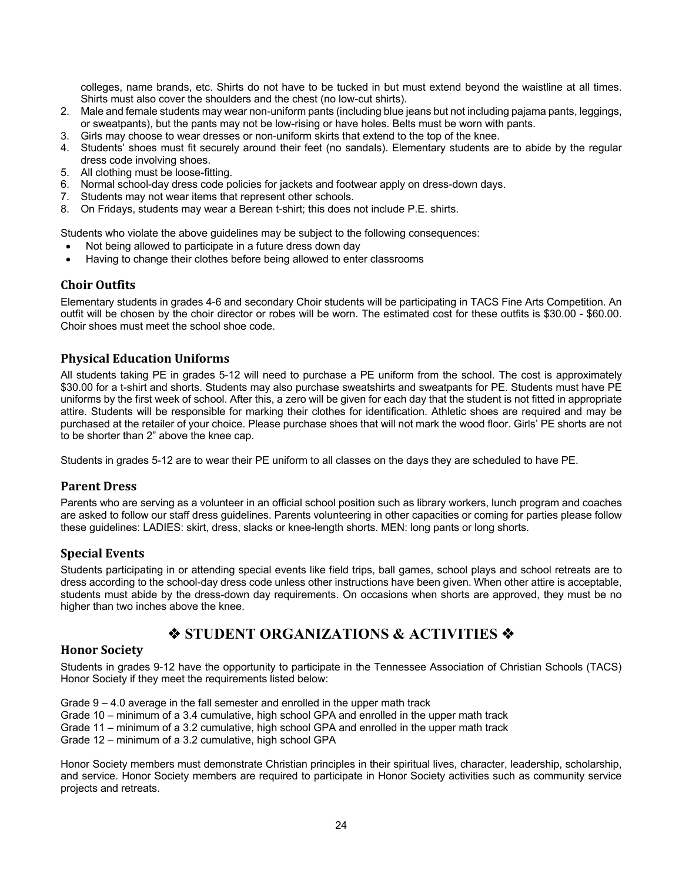colleges, name brands, etc. Shirts do not have to be tucked in but must extend beyond the waistline at all times. Shirts must also cover the shoulders and the chest (no low-cut shirts).

- 2. Male and female students may wear non-uniform pants (including blue jeans but not including pajama pants, leggings, or sweatpants), but the pants may not be low-rising or have holes. Belts must be worn with pants.
- 3. Girls may choose to wear dresses or non-uniform skirts that extend to the top of the knee.
- 4. Students' shoes must fit securely around their feet (no sandals). Elementary students are to abide by the regular dress code involving shoes.
- 5. All clothing must be loose-fitting.
- 6. Normal school-day dress code policies for jackets and footwear apply on dress-down days.
- 7. Students may not wear items that represent other schools.
- 8. On Fridays, students may wear a Berean t-shirt; this does not include P.E. shirts.

Students who violate the above guidelines may be subject to the following consequences:

- Not being allowed to participate in a future dress down day
- Having to change their clothes before being allowed to enter classrooms

## **Choir Outfits**

Elementary students in grades 4-6 and secondary Choir students will be participating in TACS Fine Arts Competition. An outfit will be chosen by the choir director or robes will be worn. The estimated cost for these outfits is \$30.00 - \$60.00. Choir shoes must meet the school shoe code.

## **Physical Education Uniforms**

All students taking PE in grades 5-12 will need to purchase a PE uniform from the school. The cost is approximately \$30.00 for a t-shirt and shorts. Students may also purchase sweatshirts and sweatpants for PE. Students must have PE uniforms by the first week of school. After this, a zero will be given for each day that the student is not fitted in appropriate attire. Students will be responsible for marking their clothes for identification. Athletic shoes are required and may be purchased at the retailer of your choice. Please purchase shoes that will not mark the wood floor. Girls' PE shorts are not to be shorter than 2" above the knee cap.

Students in grades 5-12 are to wear their PE uniform to all classes on the days they are scheduled to have PE.

## **Parent Dress**

Parents who are serving as a volunteer in an official school position such as library workers, lunch program and coaches are asked to follow our staff dress guidelines. Parents volunteering in other capacities or coming for parties please follow these guidelines: LADIES: skirt, dress, slacks or knee-length shorts. MEN: long pants or long shorts.

#### **Special Events**

Students participating in or attending special events like field trips, ball games, school plays and school retreats are to dress according to the school-day dress code unless other instructions have been given. When other attire is acceptable, students must abide by the dress-down day requirements. On occasions when shorts are approved, they must be no higher than two inches above the knee.

# **❖ STUDENT ORGANIZATIONS & ACTIVITIES ❖**

## **Honor Society**

Students in grades 9-12 have the opportunity to participate in the Tennessee Association of Christian Schools (TACS) Honor Society if they meet the requirements listed below:

Grade 9 – 4.0 average in the fall semester and enrolled in the upper math track

- Grade 10 minimum of a 3.4 cumulative, high school GPA and enrolled in the upper math track
- Grade 11 minimum of a 3.2 cumulative, high school GPA and enrolled in the upper math track

Grade 12 – minimum of a 3.2 cumulative, high school GPA

Honor Society members must demonstrate Christian principles in their spiritual lives, character, leadership, scholarship, and service. Honor Society members are required to participate in Honor Society activities such as community service projects and retreats.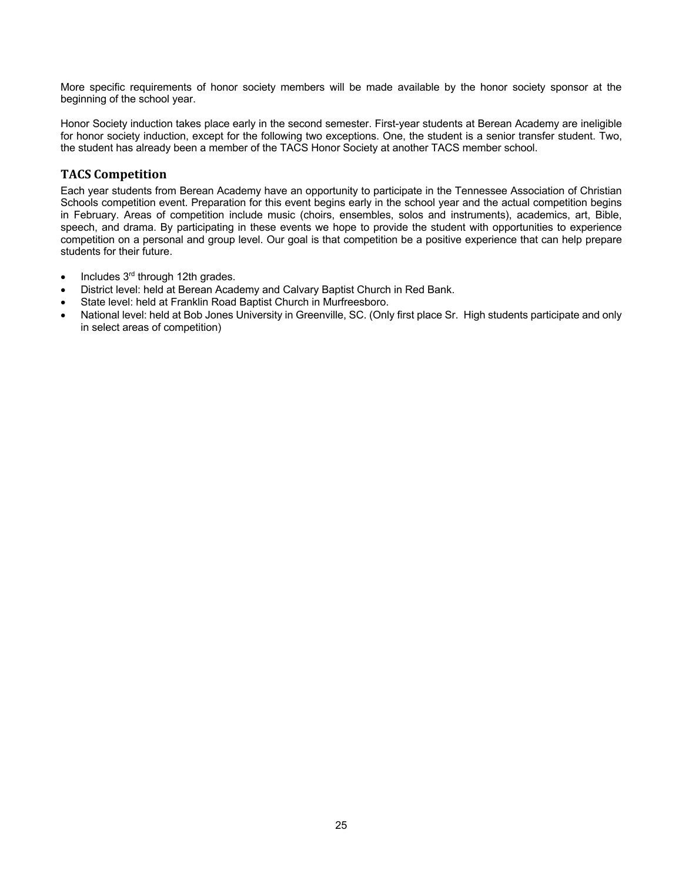More specific requirements of honor society members will be made available by the honor society sponsor at the beginning of the school year.

Honor Society induction takes place early in the second semester. First-year students at Berean Academy are ineligible for honor society induction, except for the following two exceptions. One, the student is a senior transfer student. Two, the student has already been a member of the TACS Honor Society at another TACS member school.

# **TACS Competition**

Each year students from Berean Academy have an opportunity to participate in the Tennessee Association of Christian Schools competition event. Preparation for this event begins early in the school year and the actual competition begins in February. Areas of competition include music (choirs, ensembles, solos and instruments), academics, art, Bible, speech, and drama. By participating in these events we hope to provide the student with opportunities to experience competition on a personal and group level. Our goal is that competition be a positive experience that can help prepare students for their future.

- Includes 3rd through 12th grades.
- District level: held at Berean Academy and Calvary Baptist Church in Red Bank.
- State level: held at Franklin Road Baptist Church in Murfreesboro.
- National level: held at Bob Jones University in Greenville, SC. (Only first place Sr. High students participate and only in select areas of competition)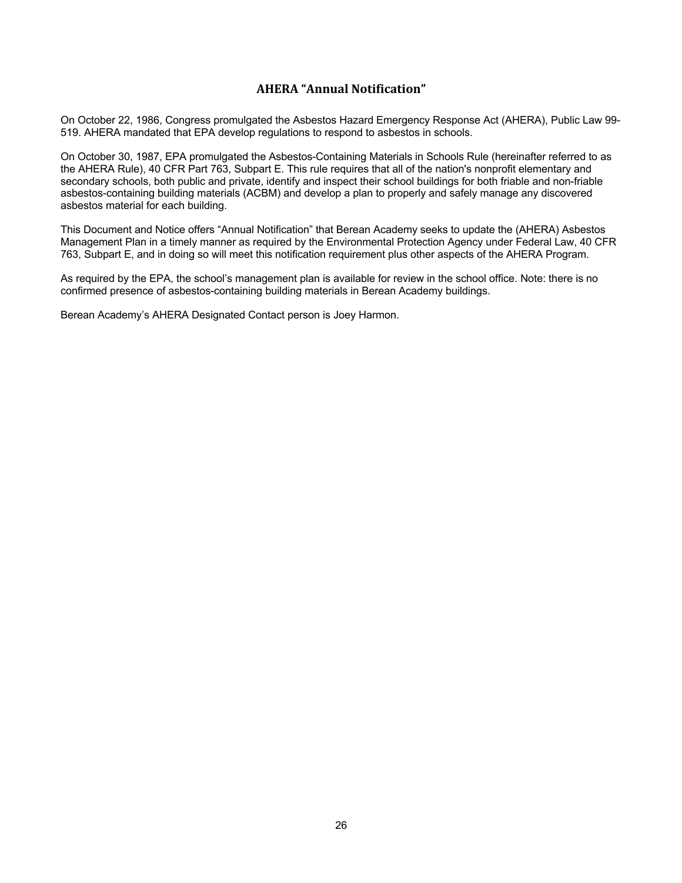# **AHERA "Annual Notification"**

On October 22, 1986, Congress promulgated the Asbestos Hazard Emergency Response Act (AHERA), Public Law 99- 519. AHERA mandated that EPA develop regulations to respond to asbestos in schools.

On October 30, 1987, EPA promulgated the Asbestos-Containing Materials in Schools Rule (hereinafter referred to as the AHERA Rule), 40 CFR Part 763, Subpart E. This rule requires that all of the nation's nonprofit elementary and secondary schools, both public and private, identify and inspect their school buildings for both friable and non-friable asbestos-containing building materials (ACBM) and develop a plan to properly and safely manage any discovered asbestos material for each building.

This Document and Notice offers "Annual Notification" that Berean Academy seeks to update the (AHERA) Asbestos Management Plan in a timely manner as required by the Environmental Protection Agency under Federal Law, 40 CFR 763, Subpart E, and in doing so will meet this notification requirement plus other aspects of the AHERA Program.

As required by the EPA, the school's management plan is available for review in the school office. Note: there is no confirmed presence of asbestos-containing building materials in Berean Academy buildings.

Berean Academy's AHERA Designated Contact person is Joey Harmon.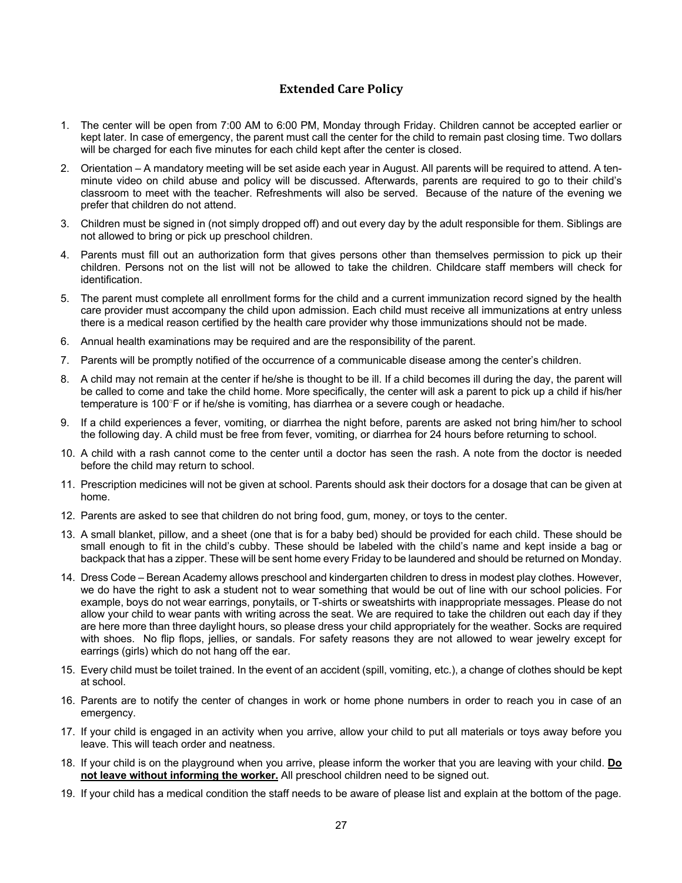# **Extended Care Policy**

- 1. The center will be open from 7:00 AM to 6:00 PM, Monday through Friday. Children cannot be accepted earlier or kept later. In case of emergency, the parent must call the center for the child to remain past closing time. Two dollars will be charged for each five minutes for each child kept after the center is closed.
- 2. Orientation A mandatory meeting will be set aside each year in August. All parents will be required to attend. A tenminute video on child abuse and policy will be discussed. Afterwards, parents are required to go to their child's classroom to meet with the teacher. Refreshments will also be served. Because of the nature of the evening we prefer that children do not attend.
- 3. Children must be signed in (not simply dropped off) and out every day by the adult responsible for them. Siblings are not allowed to bring or pick up preschool children.
- 4. Parents must fill out an authorization form that gives persons other than themselves permission to pick up their children. Persons not on the list will not be allowed to take the children. Childcare staff members will check for identification.
- 5. The parent must complete all enrollment forms for the child and a current immunization record signed by the health care provider must accompany the child upon admission. Each child must receive all immunizations at entry unless there is a medical reason certified by the health care provider why those immunizations should not be made.
- 6. Annual health examinations may be required and are the responsibility of the parent.
- 7. Parents will be promptly notified of the occurrence of a communicable disease among the center's children.
- 8. A child may not remain at the center if he/she is thought to be ill. If a child becomes ill during the day, the parent will be called to come and take the child home. More specifically, the center will ask a parent to pick up a child if his/her temperature is 100°F or if he/she is vomiting, has diarrhea or a severe cough or headache.
- 9. If a child experiences a fever, vomiting, or diarrhea the night before, parents are asked not bring him/her to school the following day. A child must be free from fever, vomiting, or diarrhea for 24 hours before returning to school.
- 10. A child with a rash cannot come to the center until a doctor has seen the rash. A note from the doctor is needed before the child may return to school.
- 11. Prescription medicines will not be given at school. Parents should ask their doctors for a dosage that can be given at home.
- 12. Parents are asked to see that children do not bring food, gum, money, or toys to the center.
- 13. A small blanket, pillow, and a sheet (one that is for a baby bed) should be provided for each child. These should be small enough to fit in the child's cubby. These should be labeled with the child's name and kept inside a bag or backpack that has a zipper. These will be sent home every Friday to be laundered and should be returned on Monday.
- 14. Dress Code Berean Academy allows preschool and kindergarten children to dress in modest play clothes. However, we do have the right to ask a student not to wear something that would be out of line with our school policies. For example, boys do not wear earrings, ponytails, or T-shirts or sweatshirts with inappropriate messages. Please do not allow your child to wear pants with writing across the seat. We are required to take the children out each day if they are here more than three daylight hours, so please dress your child appropriately for the weather. Socks are required with shoes. No flip flops, jellies, or sandals. For safety reasons they are not allowed to wear jewelry except for earrings (girls) which do not hang off the ear.
- 15. Every child must be toilet trained. In the event of an accident (spill, vomiting, etc.), a change of clothes should be kept at school.
- 16. Parents are to notify the center of changes in work or home phone numbers in order to reach you in case of an emergency.
- 17. If your child is engaged in an activity when you arrive, allow your child to put all materials or toys away before you leave. This will teach order and neatness.
- 18. If your child is on the playground when you arrive, please inform the worker that you are leaving with your child. **Do not leave without informing the worker.** All preschool children need to be signed out.
- 19. If your child has a medical condition the staff needs to be aware of please list and explain at the bottom of the page.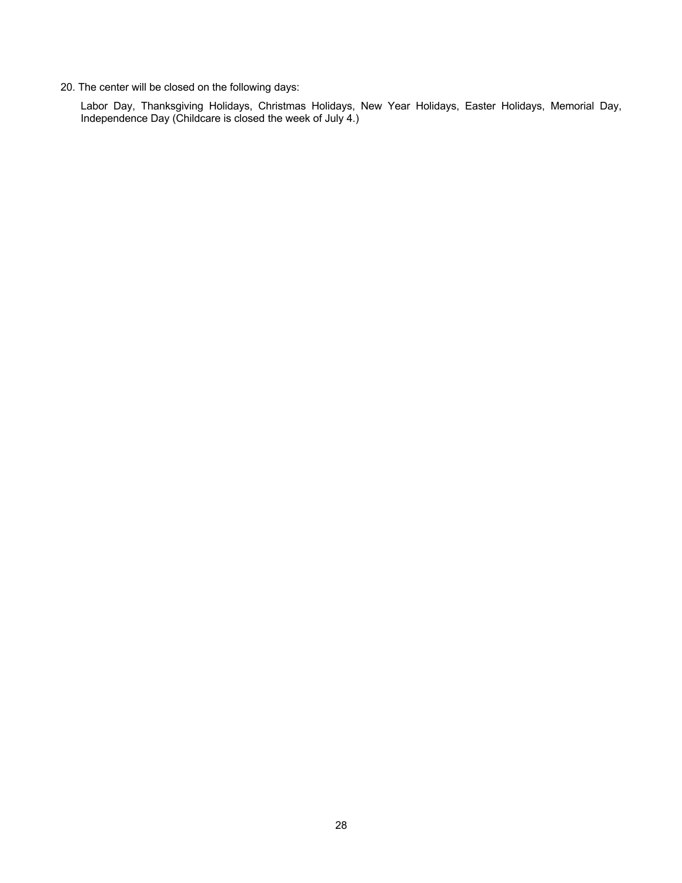20. The center will be closed on the following days:

Labor Day, Thanksgiving Holidays, Christmas Holidays, New Year Holidays, Easter Holidays, Memorial Day, Independence Day (Childcare is closed the week of July 4.)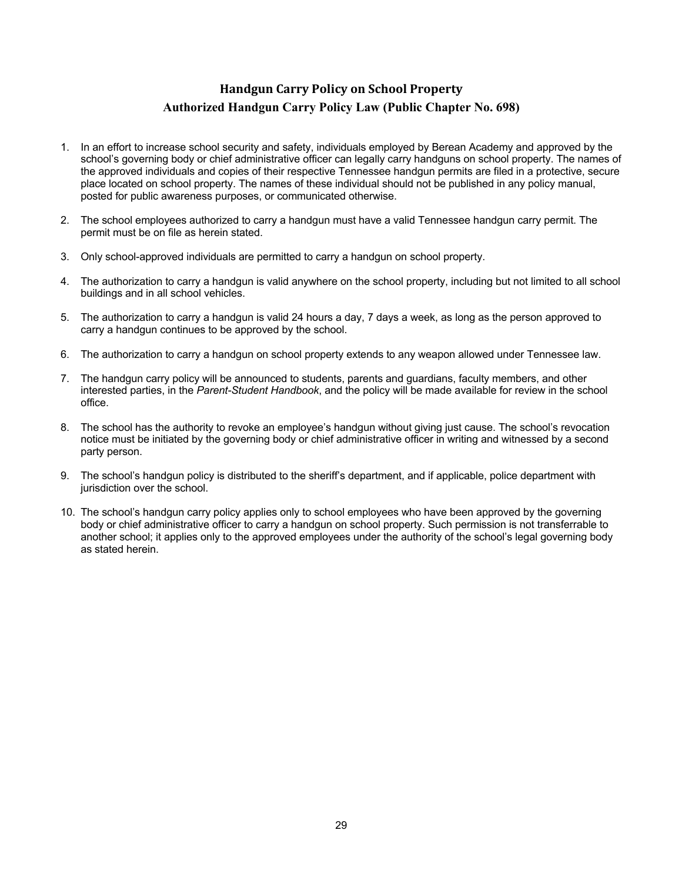# **Handgun Carry Policy on School Property Authorized Handgun Carry Policy Law (Public Chapter No. 698)**

- 1. In an effort to increase school security and safety, individuals employed by Berean Academy and approved by the school's governing body or chief administrative officer can legally carry handguns on school property. The names of the approved individuals and copies of their respective Tennessee handgun permits are filed in a protective, secure place located on school property. The names of these individual should not be published in any policy manual, posted for public awareness purposes, or communicated otherwise.
- 2. The school employees authorized to carry a handgun must have a valid Tennessee handgun carry permit. The permit must be on file as herein stated.
- 3. Only school-approved individuals are permitted to carry a handgun on school property.
- 4. The authorization to carry a handgun is valid anywhere on the school property, including but not limited to all school buildings and in all school vehicles.
- 5. The authorization to carry a handgun is valid 24 hours a day, 7 days a week, as long as the person approved to carry a handgun continues to be approved by the school.
- 6. The authorization to carry a handgun on school property extends to any weapon allowed under Tennessee law.
- 7. The handgun carry policy will be announced to students, parents and guardians, faculty members, and other interested parties, in the *Parent-Student Handbook*, and the policy will be made available for review in the school office.
- 8. The school has the authority to revoke an employee's handgun without giving just cause. The school's revocation notice must be initiated by the governing body or chief administrative officer in writing and witnessed by a second party person.
- 9. The school's handgun policy is distributed to the sheriff's department, and if applicable, police department with jurisdiction over the school.
- 10. The school's handgun carry policy applies only to school employees who have been approved by the governing body or chief administrative officer to carry a handgun on school property. Such permission is not transferrable to another school; it applies only to the approved employees under the authority of the school's legal governing body as stated herein.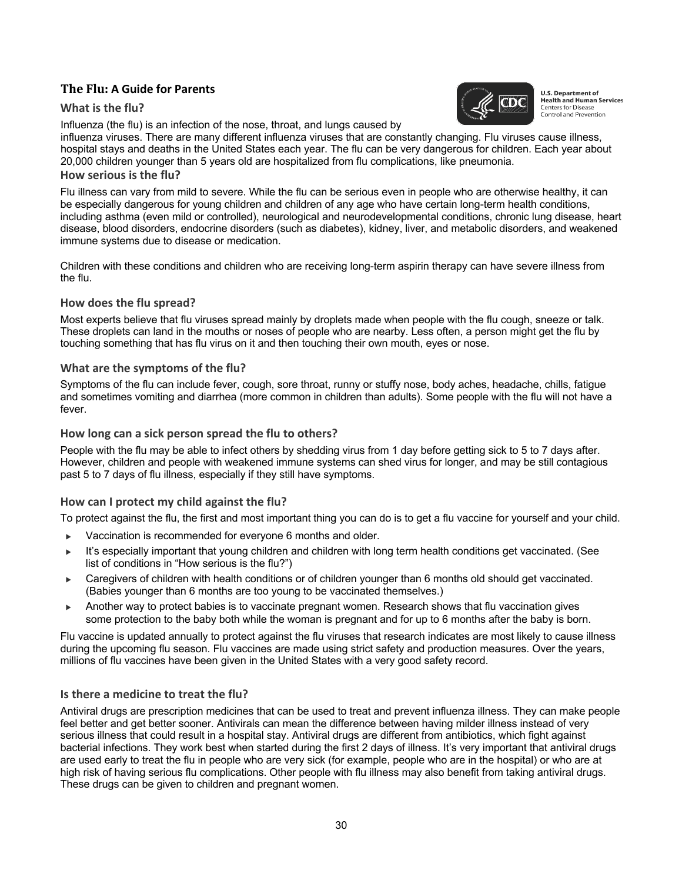# **The Flu: A Guide for Parents**

#### **What is the flu?**

Influenza (the flu) is an infection of the nose, throat, and lungs caused by



**U.S. Department of Health and Human Services Centers for Disease** Control and Prevention

influenza viruses. There are many different influenza viruses that are constantly changing. Flu viruses cause illness, hospital stays and deaths in the United States each year. The flu can be very dangerous for children. Each year about 20,000 children younger than 5 years old are hospitalized from flu complications, like pneumonia.

#### **How serious is the flu?**

Flu illness can vary from mild to severe. While the flu can be serious even in people who are otherwise healthy, it can be especially dangerous for young children and children of any age who have certain long-term health conditions, including asthma (even mild or controlled), neurological and neurodevelopmental conditions, chronic lung disease, heart disease, blood disorders, endocrine disorders (such as diabetes), kidney, liver, and metabolic disorders, and weakened immune systems due to disease or medication.

Children with these conditions and children who are receiving long-term aspirin therapy can have severe illness from the flu.

#### **How does the flu spread?**

Most experts believe that flu viruses spread mainly by droplets made when people with the flu cough, sneeze or talk. These droplets can land in the mouths or noses of people who are nearby. Less often, a person might get the flu by touching something that has flu virus on it and then touching their own mouth, eyes or nose.

#### **What are the symptoms of the flu?**

Symptoms of the flu can include fever, cough, sore throat, runny or stuffy nose, body aches, headache, chills, fatigue and sometimes vomiting and diarrhea (more common in children than adults). Some people with the flu will not have a fever.

#### **How long can a sick person spread the flu to others?**

People with the flu may be able to infect others by shedding virus from 1 day before getting sick to 5 to 7 days after. However, children and people with weakened immune systems can shed virus for longer, and may be still contagious past 5 to 7 days of flu illness, especially if they still have symptoms.

## **How can I protect my child against the flu?**

To protect against the flu, the first and most important thing you can do is to get a flu vaccine for yourself and your child.

- $\triangleright$  Vaccination is recommended for everyone 6 months and older.
- It's especially important that young children and children with long term health conditions get vaccinated. (See list of conditions in "How serious is the flu?")
- Caregivers of children with health conditions or of children younger than 6 months old should get vaccinated. (Babies younger than 6 months are too young to be vaccinated themselves.)
- Another way to protect babies is to vaccinate pregnant women. Research shows that flu vaccination gives some protection to the baby both while the woman is pregnant and for up to 6 months after the baby is born.

Flu vaccine is updated annually to protect against the flu viruses that research indicates are most likely to cause illness during the upcoming flu season. Flu vaccines are made using strict safety and production measures. Over the years, millions of flu vaccines have been given in the United States with a very good safety record.

#### **Is there a medicine to treat the flu?**

Antiviral drugs are prescription medicines that can be used to treat and prevent influenza illness. They can make people feel better and get better sooner. Antivirals can mean the difference between having milder illness instead of very serious illness that could result in a hospital stay. Antiviral drugs are different from antibiotics, which fight against bacterial infections. They work best when started during the first 2 days of illness. It's very important that antiviral drugs are used early to treat the flu in people who are very sick (for example, people who are in the hospital) or who are at high risk of having serious flu complications. Other people with flu illness may also benefit from taking antiviral drugs. These drugs can be given to children and pregnant women.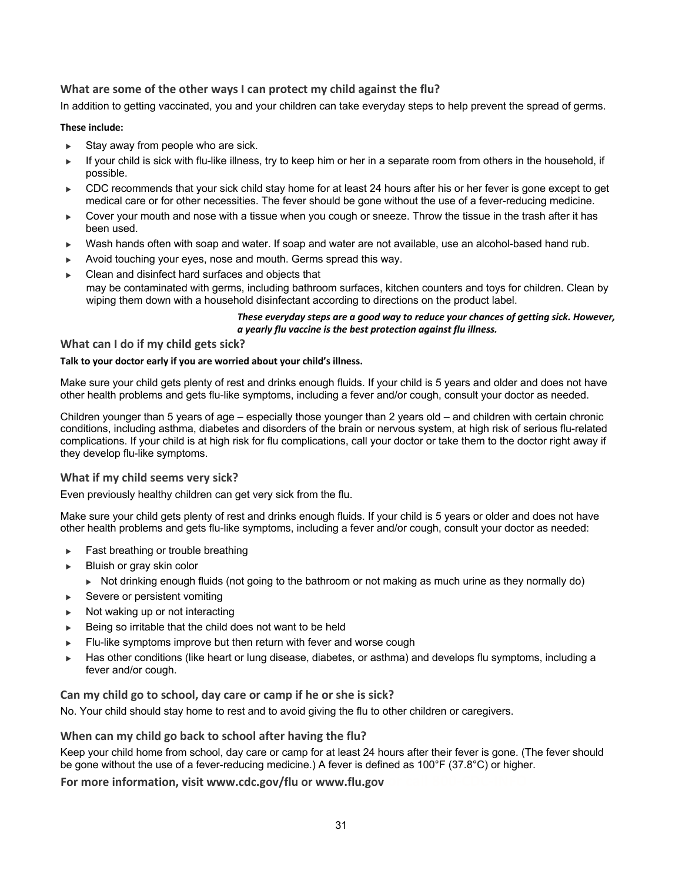## **What are some of the other ways I can protect my child against the flu?**

In addition to getting vaccinated, you and your children can take everyday steps to help prevent the spread of germs.

#### **These include:**

- $\triangleright$  Stay away from people who are sick.
- If your child is sick with flu-like illness, try to keep him or her in a separate room from others in the household, if possible.
- $\blacktriangleright$  CDC recommends that your sick child stay home for at least 24 hours after his or her fever is gone except to get medical care or for other necessities. The fever should be gone without the use of a fever-reducing medicine.
- Cover your mouth and nose with a tissue when you cough or sneeze. Throw the tissue in the trash after it has been used.
- Wash hands often with soap and water. If soap and water are not available, use an alcohol-based hand rub.
- Avoid touching your eyes, nose and mouth. Germs spread this way.
- Clean and disinfect hard surfaces and objects that may be contaminated with germs, including bathroom surfaces, kitchen counters and toys for children. Clean by wiping them down with a household disinfectant according to directions on the product label.

#### *These everyday steps are a good way to reduce your chances of getting sick. However, a yearly flu vaccine is the best protection against flu illness.*

#### **What can I do if my child gets sick?**

#### **Talk to your doctor early if you are worried about your child's illness.**

Make sure your child gets plenty of rest and drinks enough fluids. If your child is 5 years and older and does not have other health problems and gets flu-like symptoms, including a fever and/or cough, consult your doctor as needed.

Children younger than 5 years of age – especially those younger than 2 years old – and children with certain chronic conditions, including asthma, diabetes and disorders of the brain or nervous system, at high risk of serious flu-related complications. If your child is at high risk for flu complications, call your doctor or take them to the doctor right away if they develop flu-like symptoms.

## **What if my child seems very sick?**

Even previously healthy children can get very sick from the flu.

Make sure your child gets plenty of rest and drinks enough fluids. If your child is 5 years or older and does not have other health problems and gets flu-like symptoms, including a fever and/or cough, consult your doctor as needed:

- $\blacktriangleright$  Fast breathing or trouble breathing
- Bluish or gray skin color
	- $\triangleright$  Not drinking enough fluids (not going to the bathroom or not making as much urine as they normally do)
- $\blacktriangleright$  Severe or persistent vomiting
- Not waking up or not interacting
- $\blacktriangleright$  Being so irritable that the child does not want to be held
- $\blacktriangleright$  Flu-like symptoms improve but then return with fever and worse cough
- Has other conditions (like heart or lung disease, diabetes, or asthma) and develops flu symptoms, including a fever and/or cough.

#### **Can my child go to school, day care or camp if he or she is sick?**

No. Your child should stay home to rest and to avoid giving the flu to other children or caregivers.

#### **When can my child go back to school after having the flu?**

Keep your child home from school, day care or camp for at least 24 hours after their fever is gone. (The fever should be gone without the use of a fever-reducing medicine.) A fever is defined as 100°F (37.8°C) or higher.

#### **For more information, visit www.cdc.gov/flu or www.flu.gov**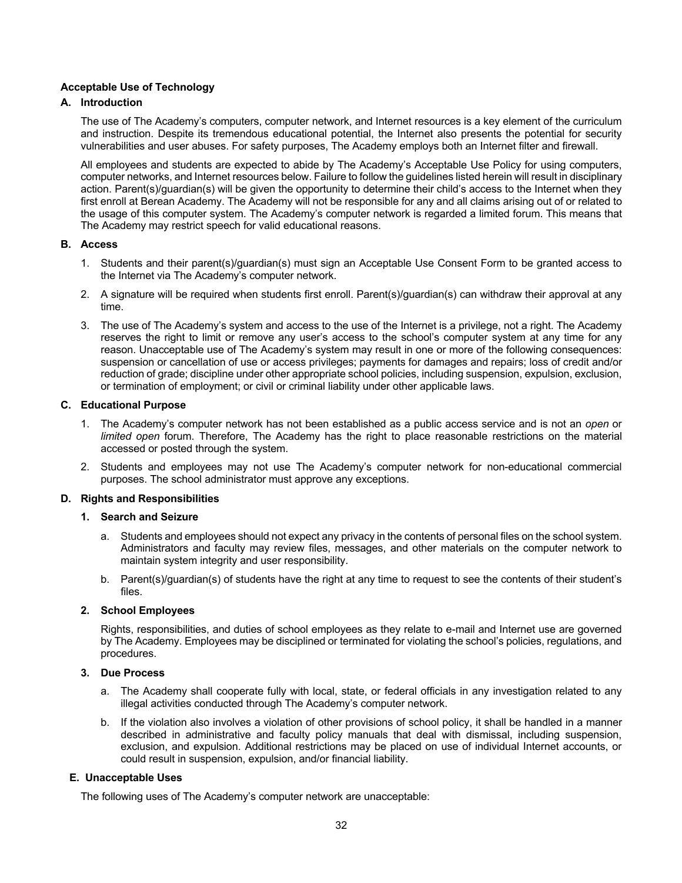#### **Acceptable Use of Technology**

#### **A. Introduction**

The use of The Academy's computers, computer network, and Internet resources is a key element of the curriculum and instruction. Despite its tremendous educational potential, the Internet also presents the potential for security vulnerabilities and user abuses. For safety purposes, The Academy employs both an Internet filter and firewall.

All employees and students are expected to abide by The Academy's Acceptable Use Policy for using computers, computer networks, and Internet resources below. Failure to follow the guidelines listed herein will result in disciplinary action. Parent(s)/guardian(s) will be given the opportunity to determine their child's access to the Internet when they first enroll at Berean Academy. The Academy will not be responsible for any and all claims arising out of or related to the usage of this computer system. The Academy's computer network is regarded a limited forum. This means that The Academy may restrict speech for valid educational reasons.

#### **B. Access**

- 1. Students and their parent(s)/guardian(s) must sign an Acceptable Use Consent Form to be granted access to the Internet via The Academy's computer network.
- 2. A signature will be required when students first enroll. Parent(s)/guardian(s) can withdraw their approval at any time.
- 3. The use of The Academy's system and access to the use of the Internet is a privilege, not a right. The Academy reserves the right to limit or remove any user's access to the school's computer system at any time for any reason. Unacceptable use of The Academy's system may result in one or more of the following consequences: suspension or cancellation of use or access privileges; payments for damages and repairs; loss of credit and/or reduction of grade; discipline under other appropriate school policies, including suspension, expulsion, exclusion, or termination of employment; or civil or criminal liability under other applicable laws.

#### **C. Educational Purpose**

- 1. The Academy's computer network has not been established as a public access service and is not an *open* or *limited open* forum. Therefore, The Academy has the right to place reasonable restrictions on the material accessed or posted through the system.
- 2. Students and employees may not use The Academy's computer network for non-educational commercial purposes. The school administrator must approve any exceptions.

#### **D. Rights and Responsibilities**

#### **1. Search and Seizure**

- a. Students and employees should not expect any privacy in the contents of personal files on the school system. Administrators and faculty may review files, messages, and other materials on the computer network to maintain system integrity and user responsibility.
- b. Parent(s)/guardian(s) of students have the right at any time to request to see the contents of their student's files.

#### **2. School Employees**

Rights, responsibilities, and duties of school employees as they relate to e-mail and Internet use are governed by The Academy. Employees may be disciplined or terminated for violating the school's policies, regulations, and procedures.

## **3. Due Process**

- a. The Academy shall cooperate fully with local, state, or federal officials in any investigation related to any illegal activities conducted through The Academy's computer network.
- b. If the violation also involves a violation of other provisions of school policy, it shall be handled in a manner described in administrative and faculty policy manuals that deal with dismissal, including suspension, exclusion, and expulsion. Additional restrictions may be placed on use of individual Internet accounts, or could result in suspension, expulsion, and/or financial liability.

#### **E. Unacceptable Uses**

The following uses of The Academy's computer network are unacceptable: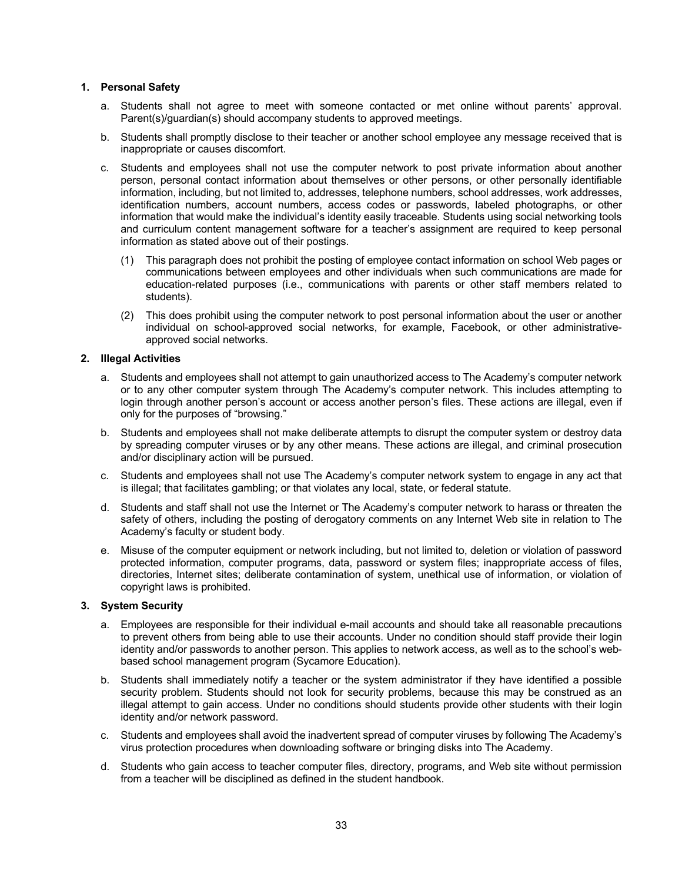#### **1. Personal Safety**

- a. Students shall not agree to meet with someone contacted or met online without parents' approval. Parent(s)/quardian(s) should accompany students to approved meetings.
- b. Students shall promptly disclose to their teacher or another school employee any message received that is inappropriate or causes discomfort.
- c. Students and employees shall not use the computer network to post private information about another person, personal contact information about themselves or other persons, or other personally identifiable information, including, but not limited to, addresses, telephone numbers, school addresses, work addresses, identification numbers, account numbers, access codes or passwords, labeled photographs, or other information that would make the individual's identity easily traceable. Students using social networking tools and curriculum content management software for a teacher's assignment are required to keep personal information as stated above out of their postings.
	- (1) This paragraph does not prohibit the posting of employee contact information on school Web pages or communications between employees and other individuals when such communications are made for education-related purposes (i.e., communications with parents or other staff members related to students).
	- (2) This does prohibit using the computer network to post personal information about the user or another individual on school-approved social networks, for example, Facebook, or other administrativeapproved social networks.

#### **2. Illegal Activities**

- a. Students and employees shall not attempt to gain unauthorized access to The Academy's computer network or to any other computer system through The Academy's computer network. This includes attempting to login through another person's account or access another person's files. These actions are illegal, even if only for the purposes of "browsing."
- b. Students and employees shall not make deliberate attempts to disrupt the computer system or destroy data by spreading computer viruses or by any other means. These actions are illegal, and criminal prosecution and/or disciplinary action will be pursued.
- c. Students and employees shall not use The Academy's computer network system to engage in any act that is illegal; that facilitates gambling; or that violates any local, state, or federal statute.
- d. Students and staff shall not use the Internet or The Academy's computer network to harass or threaten the safety of others, including the posting of derogatory comments on any Internet Web site in relation to The Academy's faculty or student body.
- e. Misuse of the computer equipment or network including, but not limited to, deletion or violation of password protected information, computer programs, data, password or system files; inappropriate access of files, directories, Internet sites; deliberate contamination of system, unethical use of information, or violation of copyright laws is prohibited.

#### **3. System Security**

- a. Employees are responsible for their individual e-mail accounts and should take all reasonable precautions to prevent others from being able to use their accounts. Under no condition should staff provide their login identity and/or passwords to another person. This applies to network access, as well as to the school's webbased school management program (Sycamore Education).
- b. Students shall immediately notify a teacher or the system administrator if they have identified a possible security problem. Students should not look for security problems, because this may be construed as an illegal attempt to gain access. Under no conditions should students provide other students with their login identity and/or network password.
- c. Students and employees shall avoid the inadvertent spread of computer viruses by following The Academy's virus protection procedures when downloading software or bringing disks into The Academy.
- d. Students who gain access to teacher computer files, directory, programs, and Web site without permission from a teacher will be disciplined as defined in the student handbook.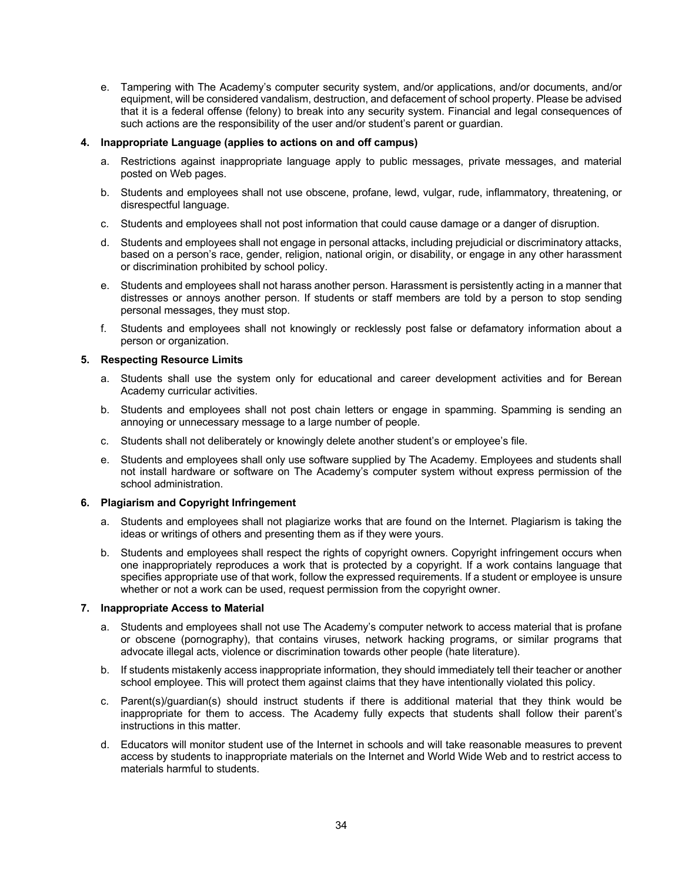e. Tampering with The Academy's computer security system, and/or applications, and/or documents, and/or equipment, will be considered vandalism, destruction, and defacement of school property. Please be advised that it is a federal offense (felony) to break into any security system. Financial and legal consequences of such actions are the responsibility of the user and/or student's parent or guardian.

#### **4. Inappropriate Language (applies to actions on and off campus)**

- a. Restrictions against inappropriate language apply to public messages, private messages, and material posted on Web pages.
- b. Students and employees shall not use obscene, profane, lewd, vulgar, rude, inflammatory, threatening, or disrespectful language.
- c. Students and employees shall not post information that could cause damage or a danger of disruption.
- d. Students and employees shall not engage in personal attacks, including prejudicial or discriminatory attacks, based on a person's race, gender, religion, national origin, or disability, or engage in any other harassment or discrimination prohibited by school policy.
- e. Students and employees shall not harass another person. Harassment is persistently acting in a manner that distresses or annoys another person. If students or staff members are told by a person to stop sending personal messages, they must stop.
- f. Students and employees shall not knowingly or recklessly post false or defamatory information about a person or organization.

#### **5. Respecting Resource Limits**

- a. Students shall use the system only for educational and career development activities and for Berean Academy curricular activities.
- b. Students and employees shall not post chain letters or engage in spamming. Spamming is sending an annoying or unnecessary message to a large number of people.
- c. Students shall not deliberately or knowingly delete another student's or employee's file.
- e. Students and employees shall only use software supplied by The Academy. Employees and students shall not install hardware or software on The Academy's computer system without express permission of the school administration.

#### **6. Plagiarism and Copyright Infringement**

- a. Students and employees shall not plagiarize works that are found on the Internet. Plagiarism is taking the ideas or writings of others and presenting them as if they were yours.
- b. Students and employees shall respect the rights of copyright owners. Copyright infringement occurs when one inappropriately reproduces a work that is protected by a copyright. If a work contains language that specifies appropriate use of that work, follow the expressed requirements. If a student or employee is unsure whether or not a work can be used, request permission from the copyright owner.

#### **7. Inappropriate Access to Material**

- a. Students and employees shall not use The Academy's computer network to access material that is profane or obscene (pornography), that contains viruses, network hacking programs, or similar programs that advocate illegal acts, violence or discrimination towards other people (hate literature).
- b. If students mistakenly access inappropriate information, they should immediately tell their teacher or another school employee. This will protect them against claims that they have intentionally violated this policy.
- c. Parent(s)/guardian(s) should instruct students if there is additional material that they think would be inappropriate for them to access. The Academy fully expects that students shall follow their parent's instructions in this matter.
- d. Educators will monitor student use of the Internet in schools and will take reasonable measures to prevent access by students to inappropriate materials on the Internet and World Wide Web and to restrict access to materials harmful to students.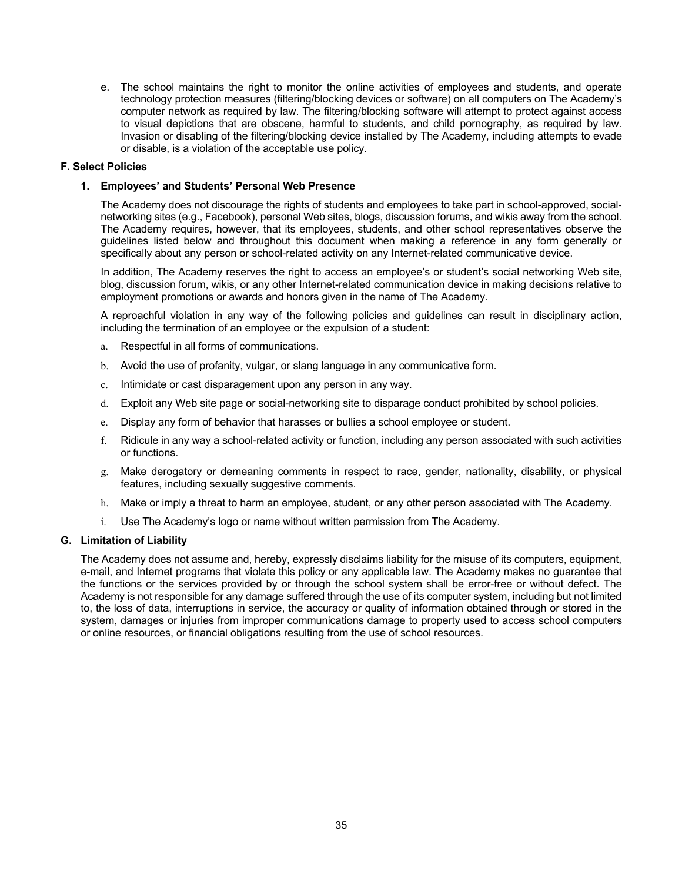e. The school maintains the right to monitor the online activities of employees and students, and operate technology protection measures (filtering/blocking devices or software) on all computers on The Academy's computer network as required by law. The filtering/blocking software will attempt to protect against access to visual depictions that are obscene, harmful to students, and child pornography, as required by law. Invasion or disabling of the filtering/blocking device installed by The Academy, including attempts to evade or disable, is a violation of the acceptable use policy.

#### **F. Select Policies**

#### **1. Employees' and Students' Personal Web Presence**

The Academy does not discourage the rights of students and employees to take part in school-approved, socialnetworking sites (e.g., Facebook), personal Web sites, blogs, discussion forums, and wikis away from the school. The Academy requires, however, that its employees, students, and other school representatives observe the guidelines listed below and throughout this document when making a reference in any form generally or specifically about any person or school-related activity on any Internet-related communicative device.

In addition, The Academy reserves the right to access an employee's or student's social networking Web site, blog, discussion forum, wikis, or any other Internet-related communication device in making decisions relative to employment promotions or awards and honors given in the name of The Academy.

A reproachful violation in any way of the following policies and guidelines can result in disciplinary action, including the termination of an employee or the expulsion of a student:

- a. Respectful in all forms of communications.
- b. Avoid the use of profanity, vulgar, or slang language in any communicative form.
- c. Intimidate or cast disparagement upon any person in any way.
- d. Exploit any Web site page or social-networking site to disparage conduct prohibited by school policies.
- e. Display any form of behavior that harasses or bullies a school employee or student.
- f. Ridicule in any way a school-related activity or function, including any person associated with such activities or functions.
- g. Make derogatory or demeaning comments in respect to race, gender, nationality, disability, or physical features, including sexually suggestive comments.
- h. Make or imply a threat to harm an employee, student, or any other person associated with The Academy.
- i. Use The Academy's logo or name without written permission from The Academy.

#### **G. Limitation of Liability**

The Academy does not assume and, hereby, expressly disclaims liability for the misuse of its computers, equipment, e-mail, and Internet programs that violate this policy or any applicable law. The Academy makes no guarantee that the functions or the services provided by or through the school system shall be error-free or without defect. The Academy is not responsible for any damage suffered through the use of its computer system, including but not limited to, the loss of data, interruptions in service, the accuracy or quality of information obtained through or stored in the system, damages or injuries from improper communications damage to property used to access school computers or online resources, or financial obligations resulting from the use of school resources.